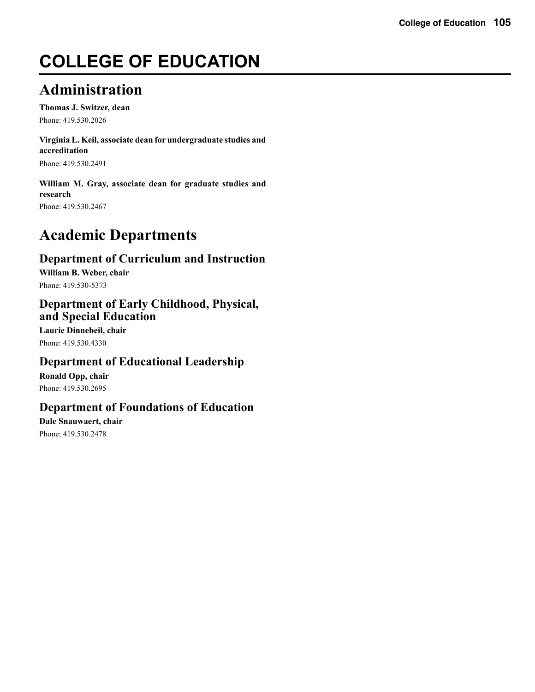# **COLLEGE OF EDUCATION**

# **Administration**

**Thomas J. Switzer, dean** Phone: 419.530.2026

**Virginia L. Keil, associate dean for undergraduate studies and accreditation**

Phone: 419.530.2491

**William M. Gray, associate dean for graduate studies and research** Phone: 419.530.2467

# **Academic Departments**

## **Department of Curriculum and Instruction**

**William B. Weber, chair** Phone: 419.530-5373

## **Department of Early Childhood, Physical, and Special Education**

**Laurie Dinnebeil, chair** Phone: 419.530.4330

## **Department of Educational Leadership**

**Ronald Opp, chair** Phone: 419.530.2695

## **Department of Foundations of Education**

**Dale Snauwaert, chair** Phone: 419.530.2478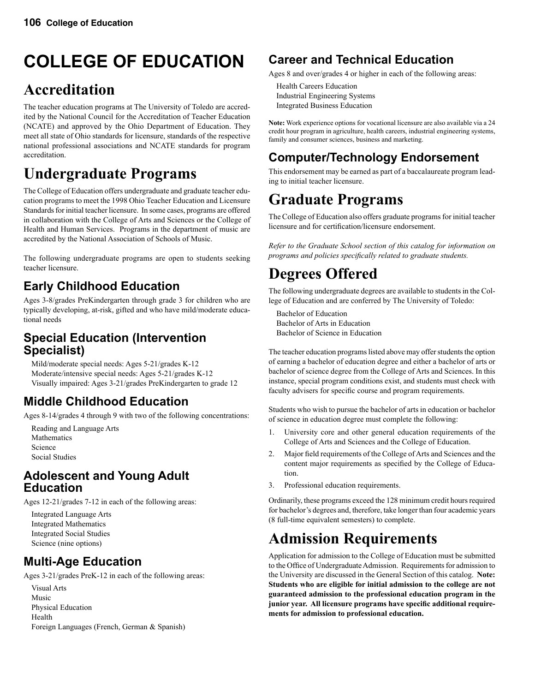# **COLLEGE OF EDUCATION**

# **Accreditation**

The teacher education programs at The University of Toledo are accredited by the National Council for the Accreditation of Teacher Education (NCATE) and approved by the Ohio Department of Education. They meet all state of Ohio standards for licensure, standards of the respective national professional associations and NCATE standards for program accreditation.

# **Undergraduate Programs**

The College of Education offers undergraduate and graduate teacher education programs to meet the 1998 Ohio Teacher Education and Licensure Standards for initial teacher licensure. In some cases, programs are offered in collaboration with the College of Arts and Sciences or the College of Health and Human Services. Programs in the department of music are accredited by the National Association of Schools of Music.

The following undergraduate programs are open to students seeking teacher licensure.

## **Early Childhood Education**

Ages 3-8/grades PreKindergarten through grade 3 for children who are typically developing, at-risk, gifted and who have mild/moderate educational needs

## **Special Education (Intervention Specialist)**

 Mild/moderate special needs: Ages 5-21/grades K-12 Moderate/intensive special needs: Ages 5-21/grades K-12 Visually impaired: Ages 3-21/grades PreKindergarten to grade 12

## **Middle Childhood Education**

Ages 8-14/grades 4 through 9 with two of the following concentrations:

 Reading and Language Arts Mathematics Science Social Studies

## **Adolescent and Young Adult Education**

Ages 12-21/grades 7-12 in each of the following areas:

 Integrated Language Arts Integrated Mathematics Integrated Social Studies Science (nine options)

## **Multi-Age Education**

Ages 3-21/grades PreK-12 in each of the following areas:

 Visual Arts Music Physical Education Health Foreign Languages (French, German & Spanish)

## **Career and Technical Education**

Ages 8 and over/grades 4 or higher in each of the following areas:

 Health Careers Education Industrial Engineering Systems Integrated Business Education

**Note:** Work experience options for vocational licensure are also available via a 24 credit hour program in agriculture, health careers, industrial engineering systems, family and consumer sciences, business and marketing.

# **Computer/Technology Endorsement**

This endorsement may be earned as part of a baccalaureate program leading to initial teacher licensure.

# **Graduate Programs**

The College of Education also offers graduate programs for initial teacher licensure and for certification/licensure endorsement.

*Refer to the Graduate School section of this catalog for information on programs and policies specifically related to graduate students.*

# **Degrees Offered**

The following undergraduate degrees are available to students in the College of Education and are conferred by The University of Toledo:

 Bachelor of Education Bachelor of Arts in Education Bachelor of Science in Education

The teacher education programs listed above may offer students the option of earning a bachelor of education degree and either a bachelor of arts or bachelor of science degree from the College of Arts and Sciences. In this instance, special program conditions exist, and students must check with faculty advisers for specific course and program requirements.

Students who wish to pursue the bachelor of arts in education or bachelor of science in education degree must complete the following:

- 1. University core and other general education requirements of the College of Arts and Sciences and the College of Education.
- 2. Major field requirements of the College of Arts and Sciences and the content major requirements as specified by the College of Education.
- 3. Professional education requirements.

Ordinarily, these programs exceed the 128 minimum credit hours required for bachelor's degrees and, therefore, take longer than four academic years (8 full-time equivalent semesters) to complete.

# **Admission Requirements**

Application for admission to the College of Education must be submitted to the Office of Undergraduate Admission. Requirements for admission to the University are discussed in the General Section of this catalog. **Note: Students who are eligible for initial admission to the college are not guaranteed admission to the professional education program in the junior year. All licensure programs have specific additional requirements for admission to professional education.**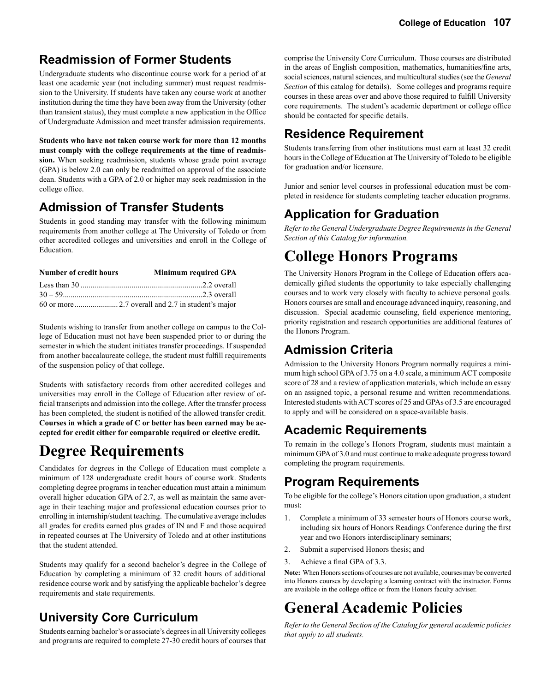## **Readmission of Former Students**

Undergraduate students who discontinue course work for a period of at least one academic year (not including summer) must request readmission to the University. If students have taken any course work at another institution during the time they have been away from the University (other than transient status), they must complete a new application in the Office of Undergraduate Admission and meet transfer admission requirements.

**Students who have not taken course work for more than 12 months must comply with the college requirements at the time of readmission.** When seeking readmission, students whose grade point average (GPA) is below 2.0 can only be readmitted on approval of the associate dean. Students with a GPA of 2.0 or higher may seek readmission in the college office.

## **Admission of Transfer Students**

Students in good standing may transfer with the following minimum requirements from another college at The University of Toledo or from other accredited colleges and universities and enroll in the College of Education.

| <b>Number of credit hours</b> | <b>Minimum required GPA</b> |
|-------------------------------|-----------------------------|
|                               |                             |
| $30 - 59$ overall             |                             |
|                               |                             |

Students wishing to transfer from another college on campus to the College of Education must not have been suspended prior to or during the semester in which the student initiates transfer proceedings. If suspended from another baccalaureate college, the student must fulfill requirements of the suspension policy of that college.

Students with satisfactory records from other accredited colleges and universities may enroll in the College of Education after review of official transcripts and admission into the college. After the transfer process has been completed, the student is notified of the allowed transfer credit. **Courses in which a grade of C or better has been earned may be accepted for credit either for comparable required or elective credit.**

## **Degree Requirements**

Candidates for degrees in the College of Education must complete a minimum of 128 undergraduate credit hours of course work. Students completing degree programs in teacher education must attain a minimum overall higher education GPA of 2.7, as well as maintain the same average in their teaching major and professional education courses prior to enrolling in internship/student teaching. The cumulative average includes all grades for credits earned plus grades of IN and F and those acquired in repeated courses at The University of Toledo and at other institutions that the student attended.

Students may qualify for a second bachelor's degree in the College of Education by completing a minimum of 32 credit hours of additional residence course work and by satisfying the applicable bachelor's degree requirements and state requirements.

## **University Core Curriculum**

Students earning bachelor's or associate's degrees in all University colleges and programs are required to complete 27-30 credit hours of courses that

comprise the University Core Curriculum. Those courses are distributed in the areas of English composition, mathematics, humanities/fine arts, social sciences, natural sciences, and multicultural studies (see the *General Section* of this catalog for details). Some colleges and programs require courses in these areas over and above those required to fulfill University core requirements. The student's academic department or college office should be contacted for specific details.

## **Residence Requirement**

Students transferring from other institutions must earn at least 32 credit hours in the College of Education at The University of Toledo to be eligible for graduation and/or licensure.

Junior and senior level courses in professional education must be completed in residence for students completing teacher education programs.

## **Application for Graduation**

*Refer to the General Undergraduate Degree Requirements in the General Section of this Catalog for information.*

# **College Honors Programs**

The University Honors Program in the College of Education offers academically gifted students the opportunity to take especially challenging courses and to work very closely with faculty to achieve personal goals. Honors courses are small and encourage advanced inquiry, reasoning, and discussion. Special academic counseling, field experience mentoring, priority registration and research opportunities are additional features of the Honors Program.

## **Admission Criteria**

Admission to the University Honors Program normally requires a minimum high school GPA of 3.75 on a 4.0 scale, a minimum ACT composite score of 28 and a review of application materials, which include an essay on an assigned topic, a personal resume and written recommendations. Interested students with ACT scores of 25 and GPAs of 3.5 are encouraged to apply and will be considered on a space-available basis.

## **Academic Requirements**

To remain in the college's Honors Program, students must maintain a minimum GPA of 3.0 and must continue to make adequate progress toward completing the program requirements.

## **Program Requirements**

To be eligible for the college's Honors citation upon graduation, a student must:

- 1. Complete a minimum of 33 semester hours of Honors course work, including six hours of Honors Readings Conference during the first year and two Honors interdisciplinary seminars;
- 2. Submit a supervised Honors thesis; and
- 3. Achieve a final GPA of 3.3.

**Note:** When Honors sections of courses are not available, courses may be converted into Honors courses by developing a learning contract with the instructor. Forms are available in the college office or from the Honors faculty adviser.

# **General Academic Policies**

*Refer to the General Section of the Catalog for general academic policies that apply to all students.*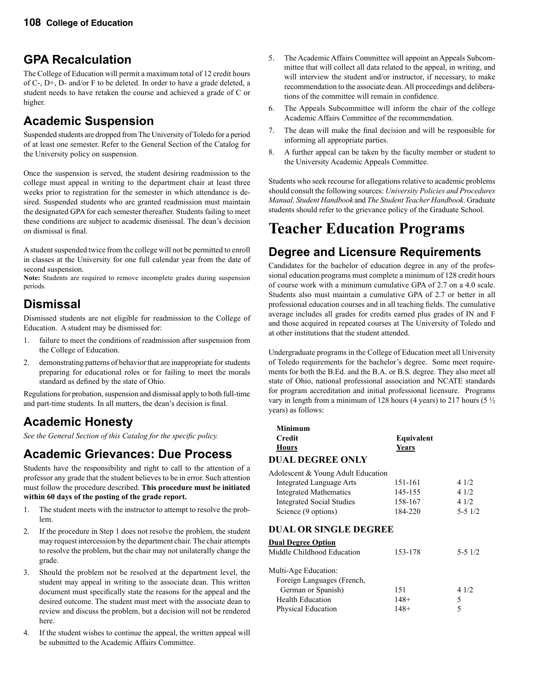## **GPA Recalculation**

The College of Education will permit a maximum total of 12 credit hours of C-, D+, D- and/or F to be deleted. In order to have a grade deleted, a student needs to have retaken the course and achieved a grade of C or higher.

## **Academic Suspension**

Suspended students are dropped from The University of Toledo for a period of at least one semester. Refer to the General Section of the Catalog for the University policy on suspension.

Once the suspension is served, the student desiring readmission to the college must appeal in writing to the department chair at least three weeks prior to registration for the semester in which attendance is desired. Suspended students who are granted readmission must maintain the designated GPA for each semester thereafter. Students failing to meet these conditions are subject to academic dismissal. The dean's decision on dismissal is final.

A student suspended twice from the college will not be permitted to enroll in classes at the University for one full calendar year from the date of second suspension.

**Note:** Students are required to remove incomplete grades during suspension periods.

## **Dismissal**

Dismissed students are not eligible for readmission to the College of Education. A student may be dismissed for:

- 1. failure to meet the conditions of readmission after suspension from the College of Education.
- 2. demonstrating patterns of behavior that are inappropriate for students preparing for educational roles or for failing to meet the morals standard as defined by the state of Ohio.

Regulations for probation, suspension and dismissal apply to both full-time and part-time students. In all matters, the dean's decision is final.

## **Academic Honesty**

*See the General Section of this Catalog for the specific policy.*

## **Academic Grievances: Due Process**

Students have the responsibility and right to call to the attention of a professor any grade that the student believes to be in error. Such attention must follow the procedure described. **This procedure must be initiated within 60 days of the posting of the grade report.**

- 1. The student meets with the instructor to attempt to resolve the problem.
- 2. If the procedure in Step 1 does not resolve the problem, the student may request intercession by the department chair. The chair attempts to resolve the problem, but the chair may not unilaterally change the grade.
- 3. Should the problem not be resolved at the department level, the student may appeal in writing to the associate dean. This written document must specifically state the reasons for the appeal and the desired outcome. The student must meet with the associate dean to review and discuss the problem, but a decision will not be rendered here.
- 4. If the student wishes to continue the appeal, the written appeal will be submitted to the Academic Affairs Committee.
- 5. The Academic Affairs Committee will appoint an Appeals Subcommittee that will collect all data related to the appeal, in writing, and will interview the student and/or instructor, if necessary, to make recommendation to the associate dean. All proceedings and deliberations of the committee will remain in confidence.
- 6. The Appeals Subcommittee will inform the chair of the college Academic Affairs Committee of the recommendation.
- 7. The dean will make the final decision and will be responsible for informing all appropriate parties.
- 8. A further appeal can be taken by the faculty member or student to the University Academic Appeals Committee.

Students who seek recourse for allegations relative to academic problems should consult the following sources: *University Policies and Procedures Manual, Student Handbook* and *The Student Teacher Handbook*. Graduate students should refer to the grievance policy of the Graduate School.

# **Teacher Education Programs**

## **Degree and Licensure Requirements**

Candidates for the bachelor of education degree in any of the professional education programs must complete a minimum of 128 credit hours of course work with a minimum cumulative GPA of 2.7 on a 4.0 scale. Students also must maintain a cumulative GPA of 2.7 or better in all professional education courses and in all teaching fields. The cumulative average includes all grades for credits earned plus grades of IN and F and those acquired in repeated courses at The University of Toledo and at other institutions that the student attended.

Undergraduate programs in the College of Education meet all University of Toledo requirements for the bachelor's degree. Some meet requirements for both the B.Ed. and the B.A. or B.S. degree. They also meet all state of Ohio, national professional association and NCATE standards for program accreditation and initial professional licensure. Programs vary in length from a minimum of 128 hours (4 years) to 217 hours (5  $\frac{1}{2}$ ) years) as follows:

#### **Minimum Credit Equivalent Hours Years DUAL DEGREE ONLY**

| Adolescent & Young Adult Education |         |       |
|------------------------------------|---------|-------|
| Integrated Language Arts           | 151-161 | 4 1/2 |
| <b>Integrated Mathematics</b>      | 145-155 | 41/2  |
| <b>Integrated Social Studies</b>   | 158-167 | 4 1/2 |

#### **DUAL OR SINGLE DEGREE**

| <b>Dual Degree Option</b>  |         |            |
|----------------------------|---------|------------|
| Middle Childhood Education | 153-178 | $5 - 51/2$ |
| Multi-Age Education:       |         |            |
| Foreign Languages (French, |         |            |
| German or Spanish)         | 151     | 41/2       |
| <b>Health Education</b>    | $148+$  | 5          |
| Physical Education         | $148+$  |            |

Science (9 options) 184-220 5-5 1/2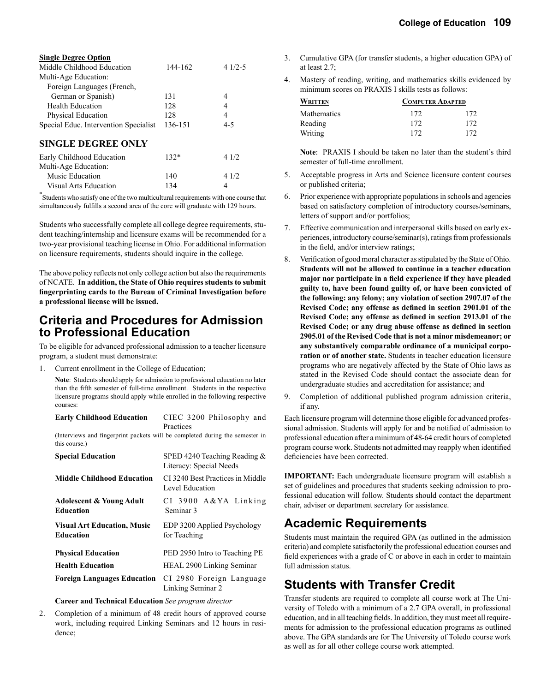| <b>Single Degree Option</b>           |         |          |
|---------------------------------------|---------|----------|
| Middle Childhood Education            | 144-162 | $41/2-5$ |
| Multi-Age Education:                  |         |          |
| Foreign Languages (French,            |         |          |
| German or Spanish)                    | 131     | 4        |
| <b>Health Education</b>               | 128     | 4        |
| Physical Education                    | 128     | 4        |
| Special Educ. Intervention Specialist | 136-151 | $4 - 5$  |
| <b>SINGLE DEGREE ONLY</b>             |         |          |
| Early Childhood Education             | $132*$  | 41/2     |
| Multi-Age Education:                  |         |          |
| <b>Music Education</b>                | 140     | 4 1/2    |
| Visual Arts Education                 | 134     | 4        |

\* Students who satisfy one of the two multicultural requirements with one course that simultaneously fulfills a second area of the core will graduate with 129 hours.

Students who successfully complete all college degree requirements, student teaching/internship and licensure exams will be recommended for a two-year provisional teaching license in Ohio. For additional information on licensure requirements, students should inquire in the college.

The above policy reflects not only college action but also the requirements of NCATE. **In addition, the State of Ohio requires students to submit fingerprinting cards to the Bureau of Criminal Investigation before a professional license will be issued.**

## **Criteria and Procedures for Admission to Professional Education**

To be eligible for advanced professional admission to a teacher licensure program, a student must demonstrate:

1. Current enrollment in the College of Education;

**Note**: Students should apply for admission to professional education no later than the fifth semester of full-time enrollment. Students in the respective licensure programs should apply while enrolled in the following respective courses:

| <b>Early Childhood Education</b> | CIEC 3200 Philosophy and |
|----------------------------------|--------------------------|
|                                  | Practices                |

 (Interviews and fingerprint packets will be completed during the semester in this course.)

| <b>Special Education</b>                                | SPED 4240 Teaching Reading &<br>Literacy: Special Needs |
|---------------------------------------------------------|---------------------------------------------------------|
| <b>Middle Childhood Education</b>                       | CI 3240 Best Practices in Middle<br>Level Education     |
| <b>Adolescent &amp; Young Adult</b><br><b>Education</b> | $CI$ 3900 $A&YA$ Linking<br>Seminar <sub>3</sub>        |
| <b>Visual Art Education, Music</b><br><b>Education</b>  | EDP 3200 Applied Psychology<br>for Teaching             |
| <b>Physical Education</b>                               | PED 2950 Intro to Teaching PE                           |
| <b>Health Education</b>                                 | <b>HEAL 2900 Linking Seminar</b>                        |
| <b>Foreign Languages Education</b>                      | CI 2980 Foreign Language<br>Linking Seminar 2           |

#### **Career and Technical Education** *See program director*

2. Completion of a minimum of 48 credit hours of approved course work, including required Linking Seminars and 12 hours in residence;

- 3. Cumulative GPA (for transfer students, a higher education GPA) of at least 2.7;
- 4. Mastery of reading, writing, and mathematics skills evidenced by minimum scores on PRAXIS I skills tests as follows:

| WRITTEN     | <b>COMPUTER ADAPTED</b> |     |
|-------------|-------------------------|-----|
| Mathematics | 172                     | 172 |
| Reading     | 172                     | 172 |
| Writing     | 172                     | 172 |

 **Note**: PRAXIS I should be taken no later than the student's third semester of full-time enrollment.

- 5. Acceptable progress in Arts and Science licensure content courses or published criteria;
- 6. Prior experience with appropriate populations in schools and agencies based on satisfactory completion of introductory courses/seminars, letters of support and/or portfolios;
- 7. Effective communication and interpersonal skills based on early experiences, introductory course/seminar(s), ratings from professionals in the field, and/or interview ratings;
- 8. Verification of good moral character as stipulated by the State of Ohio. **Students will not be allowed to continue in a teacher education major nor participate in a field experience if they have pleaded guilty to, have been found guilty of, or have been convicted of the following: any felony; any violation of section 2907.07 of the Revised Code; any offense as defined in section 2901.01 of the Revised Code; any offense as defined in section 2913.01 of the Revised Code; or any drug abuse offense as defined in section 2905.01 of the Revised Code that is not a minor misdemeanor; or any substantively comparable ordinance of a municipal corporation or of another state.** Students in teacher education licensure programs who are negatively affected by the State of Ohio laws as stated in the Revised Code should contact the associate dean for undergraduate studies and accreditation for assistance; and
- 9. Completion of additional published program admission criteria, if any.

Each licensure program will determine those eligible for advanced professional admission. Students will apply for and be notified of admission to professional education after a minimum of 48-64 credit hours of completed program course work. Students not admitted may reapply when identified deficiencies have been corrected.

**IMPORTANT:** Each undergraduate licensure program will establish a set of guidelines and procedures that students seeking admission to professional education will follow. Students should contact the department chair, adviser or department secretary for assistance.

## **Academic Requirements**

Students must maintain the required GPA (as outlined in the admission criteria) and complete satisfactorily the professional education courses and field experiences with a grade of C or above in each in order to maintain full admission status.

## **Students with Transfer Credit**

Transfer students are required to complete all course work at The University of Toledo with a minimum of a 2.7 GPA overall, in professional education, and in all teaching fields. In addition, they must meet all requirements for admission to the professional education programs as outlined above. The GPA standards are for The University of Toledo course work as well as for all other college course work attempted.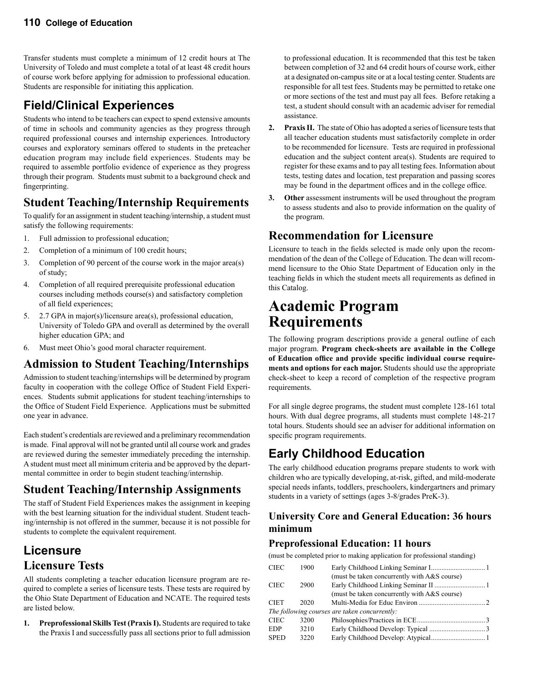Transfer students must complete a minimum of 12 credit hours at The University of Toledo and must complete a total of at least 48 credit hours of course work before applying for admission to professional education. Students are responsible for initiating this application.

## **Field/Clinical Experiences**

Students who intend to be teachers can expect to spend extensive amounts of time in schools and community agencies as they progress through required professional courses and internship experiences. Introductory courses and exploratory seminars offered to students in the preteacher education program may include field experiences. Students may be required to assemble portfolio evidence of experience as they progress through their program. Students must submit to a background check and fingerprinting.

## **Student Teaching/Internship Requirements**

To qualify for an assignment in student teaching/internship, a student must satisfy the following requirements:

- 1. Full admission to professional education;
- 2. Completion of a minimum of 100 credit hours;
- 3. Completion of 90 percent of the course work in the major area(s) of study;
- 4. Completion of all required prerequisite professional education courses including methods course(s) and satisfactory completion of all field experiences;
- 5. 2.7 GPA in major(s)/licensure area(s), professional education, University of Toledo GPA and overall as determined by the overall higher education GPA; and
- 6. Must meet Ohio's good moral character requirement.

## **Admission to Student Teaching/Internships**

Admission to student teaching/internships will be determined by program faculty in cooperation with the college Office of Student Field Experiences. Students submit applications for student teaching/internships to the Office of Student Field Experience. Applications must be submitted one year in advance.

Each student's credentials are reviewed and a preliminary recommendation is made. Final approval will not be granted until all course work and grades are reviewed during the semester immediately preceding the internship. A student must meet all minimum criteria and be approved by the departmental committee in order to begin student teaching/internship.

## **Student Teaching/Internship Assignments**

The staff of Student Field Experiences makes the assignment in keeping with the best learning situation for the individual student. Student teaching/internship is not offered in the summer, because it is not possible for students to complete the equivalent requirement.

## **Licensure Licensure Tests**

All students completing a teacher education licensure program are required to complete a series of licensure tests. These tests are required by the Ohio State Department of Education and NCATE. The required tests are listed below.

**1. Preprofessional Skills Test (Praxis I).** Students are required to take the Praxis I and successfully pass all sections prior to full admission

to professional education. It is recommended that this test be taken between completion of 32 and 64 credit hours of course work, either at a designated on-campus site or at a local testing center. Students are responsible for all test fees. Students may be permitted to retake one or more sections of the test and must pay all fees. Before retaking a test, a student should consult with an academic adviser for remedial assistance.

- **2. Praxis II.** The state of Ohio has adopted a series of licensure tests that all teacher education students must satisfactorily complete in order to be recommended for licensure. Tests are required in professional education and the subject content area(s). Students are required to register for these exams and to pay all testing fees. Information about tests, testing dates and location, test preparation and passing scores may be found in the department offices and in the college office.
- **3. Other** assessment instruments will be used throughout the program to assess students and also to provide information on the quality of the program.

## **Recommendation for Licensure**

Licensure to teach in the fields selected is made only upon the recommendation of the dean of the College of Education. The dean will recommend licensure to the Ohio State Department of Education only in the teaching fields in which the student meets all requirements as defined in this Catalog.

## **Academic Program Requirements**

The following program descriptions provide a general outline of each major program. **Program check-sheets are available in the College of Education office and provide specific individual course requirements and options for each major.** Students should use the appropriate check-sheet to keep a record of completion of the respective program requirements.

For all single degree programs, the student must complete 128-161 total hours. With dual degree programs, all students must complete 148-217 total hours. Students should see an adviser for additional information on specific program requirements.

## **Early Childhood Education**

The early childhood education programs prepare students to work with children who are typically developing, at-risk, gifted, and mild-moderate special needs infants, toddlers, preschoolers, kindergartners and primary students in a variety of settings (ages 3-8/grades PreK-3).

### **University Core and General Education: 36 hours minimum**

## **Preprofessional Education: 11 hours**

(must be completed prior to making application for professional standing)

| <b>CIEC</b> | 1900 |                                               |  |
|-------------|------|-----------------------------------------------|--|
|             |      | (must be taken concurrently with A&S course)  |  |
| <b>CIEC</b> | 2900 |                                               |  |
|             |      | (must be taken concurrently with A&S course)  |  |
| <b>CIET</b> | 2020 |                                               |  |
|             |      | The following courses are taken concurrently: |  |
| <b>CIEC</b> | 3200 |                                               |  |
| <b>EDP</b>  | 3210 |                                               |  |
| <b>SPED</b> | 3220 | Early Childhood Develop: Atypical 1           |  |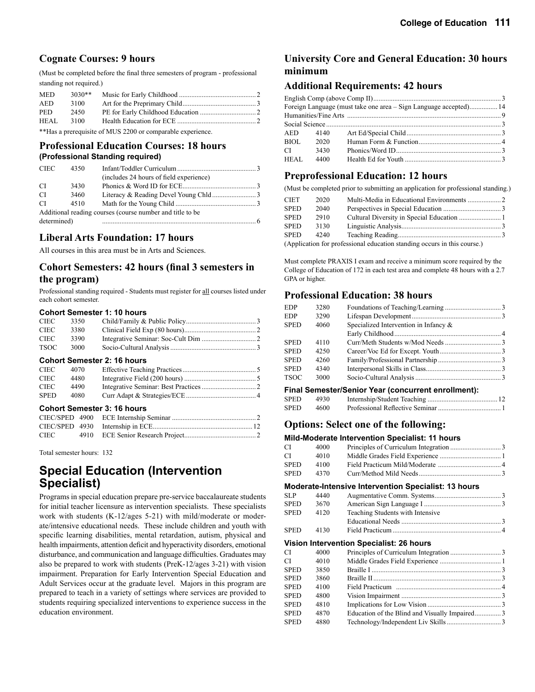#### **Cognate Courses: 9 hours**

(Must be completed before the final three semesters of program - professional standing not required.)

| <b>MED</b> | $3030**$ |  |
|------------|----------|--|
| AED        | 3100     |  |
| <b>PED</b> | 2450     |  |
| HEAL       | 3100     |  |
|            |          |  |

\*\*Has a prerequisite of MUS 2200 or comparable experience.

#### **Professional Education Courses: 18 hours (Professional Standing required)**

| <b>CIEC</b> | 4350 |                                                           |  |
|-------------|------|-----------------------------------------------------------|--|
|             |      | (includes 24 hours of field experience)                   |  |
| CI.         | 3430 |                                                           |  |
| CI.         | 3460 |                                                           |  |
| CI.         | 4510 |                                                           |  |
|             |      | Additional reading courses (course number and title to be |  |
| determined) |      |                                                           |  |

#### **Liberal Arts Foundation: 17 hours**

All courses in this area must be in Arts and Sciences.

### **Cohort Semesters: 42 hours (final 3 semesters in the program)**

Professional standing required - Students must register for all courses listed under each cohort semester.

#### **Cohort Semester 1: 10 hours**

| CIEC.       | 3350 |  |
|-------------|------|--|
| <b>CIEC</b> | 3380 |  |
| CIEC.       | 3390 |  |
| TSOC        | 3000 |  |

#### **Cohort Semester 2: 16 hours**

| CIEC.       | 4070 |  |
|-------------|------|--|
| CIEC.       | 4480 |  |
| CIEC.       | 4490 |  |
| <b>SPED</b> | 4080 |  |

#### **Cohort Semester 3: 16 hours**

Total semester hours: 132

## **Special Education (Intervention Specialist)**

Programs in special education prepare pre-service baccalaureate students for initial teacher licensure as intervention specialists. These specialists work with students (K-12/ages 5-21) with mild/moderate or moderate/intensive educational needs. These include children and youth with specific learning disabilities, mental retardation, autism, physical and health impairments, attention deficit and hyperactivity disorders, emotional disturbance, and communication and language difficulties. Graduates may also be prepared to work with students (PreK-12/ages 3-21) with vision impairment. Preparation for Early Intervention Special Education and Adult Services occur at the graduate level. Majors in this program are prepared to teach in a variety of settings where services are provided to students requiring specialized interventions to experience success in the education environment.

## **University Core and General Education: 30 hours minimum**

#### **Additional Requirements: 42 hours**

|               |          | Foreign Language (must take one area – Sign Language accepted) 14 |  |
|---------------|----------|-------------------------------------------------------------------|--|
|               |          |                                                                   |  |
|               |          |                                                                   |  |
|               | AED 4140 |                                                                   |  |
| BIOL          | 2020     |                                                                   |  |
| $CI$ and $CI$ | 3430     |                                                                   |  |
| HEAL          | 4400     |                                                                   |  |
|               |          |                                                                   |  |

#### **Preprofessional Education: 12 hours**

(Must be completed prior to submitting an application for professional standing.)

| <b>CIET</b> | 2020 |                                                                          |  |
|-------------|------|--------------------------------------------------------------------------|--|
| <b>SPED</b> | 2040 |                                                                          |  |
| <b>SPED</b> | 2910 |                                                                          |  |
| <b>SPED</b> | 3130 |                                                                          |  |
| <b>SPED</b> | 4240 |                                                                          |  |
|             |      | (Application for professional education standing occurs in this course.) |  |

Must complete PRAXIS I exam and receive a minimum score required by the College of Education of 172 in each test area and complete 48 hours with a 2.7

#### **Professional Education: 38 hours**

GPA or higher.

| <b>EDP</b>  | 3280 |                                                                      |  |
|-------------|------|----------------------------------------------------------------------|--|
| <b>EDP</b>  | 3290 |                                                                      |  |
| <b>SPED</b> | 4060 | Specialized Intervention in Infancy $\&$                             |  |
|             |      |                                                                      |  |
| <b>SPED</b> | 4110 |                                                                      |  |
| <b>SPED</b> | 4250 |                                                                      |  |
| <b>SPED</b> | 4260 |                                                                      |  |
| <b>SPED</b> | 4340 |                                                                      |  |
| TSOC        | 3000 |                                                                      |  |
|             |      | — <u>1905. i is de la constantina de la constantina de la consta</u> |  |

#### **Final Semester/Senior Year (concurrent enrollment):**

| SPED | 4930 |  |
|------|------|--|
| SPED | 4600 |  |

### **Options: Select one of the following:**

#### **Mild-Moderate Intervention Specialist: 11 hours**

|             |      | mna-moacrate mtcrvcntron opcelanot. 11 noaro         |  |
|-------------|------|------------------------------------------------------|--|
| СI          | 4000 |                                                      |  |
| СI          | 4010 |                                                      |  |
| <b>SPED</b> | 4100 |                                                      |  |
| <b>SPED</b> | 4370 |                                                      |  |
|             |      | Moderate-Intensive Intervention Specialist: 13 hours |  |
| <b>SLP</b>  | 4440 |                                                      |  |
| <b>SPED</b> | 3670 |                                                      |  |
| SPED        | 4120 | Teaching Students with Intensive                     |  |
|             |      |                                                      |  |
| SPED        | 4130 |                                                      |  |
|             |      | Vision Intervention Specialist: 26 hours             |  |
| СI          | 4000 |                                                      |  |
| СI          | 4010 |                                                      |  |
| <b>SPED</b> | 3850 |                                                      |  |
| <b>SPED</b> | 3860 |                                                      |  |
| SPED        | 4100 |                                                      |  |
| <b>SPED</b> | 4800 |                                                      |  |
| <b>SPED</b> | 4810 |                                                      |  |
| <b>SPED</b> | 4870 | Education of the Blind and Visually Impaired3        |  |
| <b>SPED</b> | 4880 |                                                      |  |
|             |      |                                                      |  |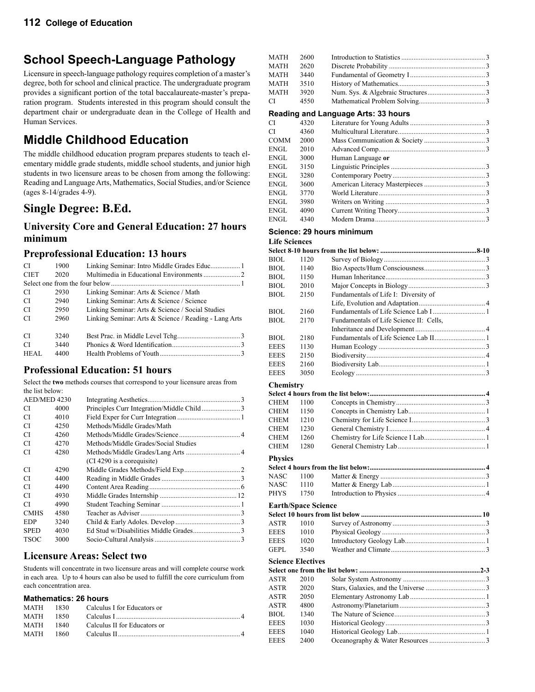## **School Speech-Language Pathology**

Licensure in speech-language pathology requires completion of a master's degree, both for school and clinical practice. The undergraduate program provides a significant portion of the total baccalaureate-master's preparation program. Students interested in this program should consult the department chair or undergraduate dean in the College of Health and Human Services.

## **Middle Childhood Education**

The middle childhood education program prepares students to teach elementary middle grade students, middle school students, and junior high students in two licensure areas to be chosen from among the following: Reading and Language Arts, Mathematics, Social Studies, and/or Science (ages 8-14/grades 4-9).

## **Single Degree: B.Ed.**

### **University Core and General Education: 27 hours minimum**

### **Preprofessional Education: 13 hours**

| CI          | 1900 |                                                       |
|-------------|------|-------------------------------------------------------|
| <b>CIET</b> | 2020 |                                                       |
|             |      |                                                       |
| CI          | 2930 | Linking Seminar: Arts & Science / Math                |
| CI.         | 2940 | Linking Seminar: Arts & Science / Science             |
| -CI         | 2950 | Linking Seminar: Arts & Science / Social Studies      |
| CI.         | 2960 | Linking Seminar: Arts & Science / Reading - Lang Arts |
|             |      |                                                       |
| CI          | 3240 |                                                       |
| CI.         | 3440 |                                                       |
| HEAL        | 4400 |                                                       |

### **Professional Education: 51 hours**

Select the **two** methods courses that correspond to your licensure areas from the list below:

| AED/MED 4230 |      |                                      |  |
|--------------|------|--------------------------------------|--|
| CI           | 4000 |                                      |  |
| CI           | 4010 |                                      |  |
| CI           | 4250 | Methods/Middle Grades/Math           |  |
| CI           | 4260 |                                      |  |
| CI           | 4270 | Methods/Middle Grades/Social Studies |  |
| CI           | 4280 |                                      |  |
|              |      | (CI 4290 is a corequisite)           |  |
| CI           | 4290 |                                      |  |
| CI           | 4400 |                                      |  |
| CI           | 4490 |                                      |  |
| CI           | 4930 |                                      |  |
| CI           | 4990 |                                      |  |
| <b>CMHS</b>  | 4580 |                                      |  |
| <b>EDP</b>   | 3240 |                                      |  |
| <b>SPED</b>  | 4030 |                                      |  |
| <b>TSOC</b>  | 3000 |                                      |  |
|              |      |                                      |  |

#### **Licensure Areas: Select two**

Students will concentrate in two licensure areas and will complete course work in each area. Up to 4 hours can also be used to fulfill the core curriculum from each concentration area.

#### **Mathematics: 26 hours**

|           | MATH 1830 Calculus I for Educators or                                                                          |  |
|-----------|----------------------------------------------------------------------------------------------------------------|--|
| MATH 1850 | Calculus I and the calculus of the calculus of the calculus of the calculus of the calculus of the calculus of |  |
| MATH 1840 | Calculus II for Educators or                                                                                   |  |
| MATH 1860 | Calculus II. 4                                                                                                 |  |
|           |                                                                                                                |  |

| <b>MATH</b> | 2600 |                                     |  |
|-------------|------|-------------------------------------|--|
| <b>MATH</b> | 2620 |                                     |  |
| MATH        | 3440 |                                     |  |
| MATH        | 3510 |                                     |  |
| MATH        | 3920 |                                     |  |
| СI          | 4550 |                                     |  |
|             |      | Reading and Language Arts: 33 hours |  |
| СI          | 4320 |                                     |  |
| СI          | 4360 |                                     |  |
| COMM        | 2000 |                                     |  |
| ENGL.       | 2010 |                                     |  |
| ENGL        | 3000 | Human Language or                   |  |
| ENGL.       | 3150 |                                     |  |
| ENGL.       | 3280 |                                     |  |
| ENGL        | 3600 |                                     |  |
| ENGL        | 3770 |                                     |  |
| ENGL        | 3980 |                                     |  |
| ENGL        | 4090 |                                     |  |
| ENGL        | 4340 |                                     |  |
|             |      |                                     |  |

## **Science: 29 hours minimum**

#### **Life Sciences**

| BIOL                | 1120                       |                                         |  |
|---------------------|----------------------------|-----------------------------------------|--|
| BIOL                | 1140                       |                                         |  |
| BIOL.               | 1150                       |                                         |  |
| BIOL                | 2010                       |                                         |  |
| BIOL                | 2150                       | Fundamentals of Life I: Diversity of    |  |
|                     |                            |                                         |  |
| BIOL                | 2160                       |                                         |  |
| BIOL                | 2170                       | Fundamentals of Life Science II: Cells, |  |
|                     |                            |                                         |  |
| BIOL                | 2180                       |                                         |  |
| EEES                | 1130                       |                                         |  |
| <b>EEES</b>         | 2150                       |                                         |  |
| EEES                | 2160                       |                                         |  |
| <b>EEES</b>         | 3050                       |                                         |  |
| Chemistry           |                            |                                         |  |
|                     |                            |                                         |  |
| CHEM                | 1100                       |                                         |  |
| <b>CHEM</b>         | 1150                       |                                         |  |
| CHEM                | 1210                       |                                         |  |
| CHEM                | 1230                       |                                         |  |
| <b>CHEM</b>         | 1260                       |                                         |  |
| <b>CHEM</b>         | 1280                       |                                         |  |
|                     |                            |                                         |  |
| <b>Physics</b>      |                            |                                         |  |
|                     |                            |                                         |  |
| NASC                | 1100                       |                                         |  |
| NASC<br><b>PHYS</b> | 1110<br>1750               |                                         |  |
|                     |                            |                                         |  |
|                     | <b>Earth/Space Science</b> |                                         |  |
|                     |                            |                                         |  |
| ASTR                | 1010                       |                                         |  |
| <b>EEES</b>         | 1010                       |                                         |  |
| <b>EEES</b>         | 1020                       |                                         |  |
| GEPL                | 3540                       |                                         |  |
|                     | <b>Science Electives</b>   |                                         |  |
|                     |                            |                                         |  |
| ASTR                | 2010                       |                                         |  |
| ASTR                | 2020                       |                                         |  |
| ASTR                | 2050                       |                                         |  |
| <b>ASTR</b>         | 4800                       |                                         |  |
| BIOL                | 1340                       |                                         |  |
| <b>EEES</b>         | 1030                       |                                         |  |
| <b>EEES</b>         | 1040                       |                                         |  |
| <b>EEES</b>         | 2400                       |                                         |  |
|                     |                            |                                         |  |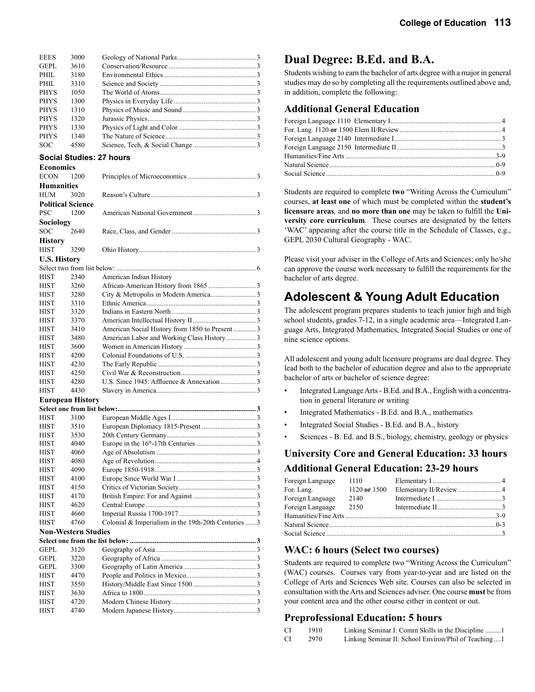| <b>EEES</b> | 3000 |  |
|-------------|------|--|
| GEPL        | 3610 |  |
| PHIL        | 3180 |  |
| PHIL        | 3310 |  |
| <b>PHYS</b> | 1050 |  |
| <b>PHYS</b> | 1300 |  |
| <b>PHYS</b> | 1310 |  |
| <b>PHYS</b> | 1320 |  |
| <b>PHYS</b> | 1330 |  |
| <b>PHYS</b> | 1340 |  |
| <b>SOC</b>  | 4580 |  |

#### **Social Studies: 27 hours**

| American Social History from 1850 to Present3 |
|-----------------------------------------------|
| American Labor and Working Class History 3    |
|                                               |
|                                               |
|                                               |
|                                               |
|                                               |
|                                               |
|                                               |
|                                               |
|                                               |

| <b>HIST</b>                | 3100 |                                                        |  |
|----------------------------|------|--------------------------------------------------------|--|
| <b>HIST</b>                | 3510 |                                                        |  |
| <b>HIST</b>                | 3530 |                                                        |  |
| <b>HIST</b>                | 4040 |                                                        |  |
| <b>HIST</b>                | 4060 |                                                        |  |
| <b>HIST</b>                | 4080 |                                                        |  |
| <b>HIST</b>                | 4090 |                                                        |  |
| <b>HIST</b>                | 4100 |                                                        |  |
| <b>HIST</b>                | 4150 |                                                        |  |
| <b>HIST</b>                | 4170 |                                                        |  |
| <b>HIST</b>                | 4620 |                                                        |  |
| <b>HIST</b>                | 4660 |                                                        |  |
| <b>HIST</b>                | 4760 | Colonial $&$ Imperialism in the 19th-20th Centuries  3 |  |
| <b>Non-Western Studies</b> |      |                                                        |  |
|                            |      |                                                        |  |

| GEPL        | 3120 |  |
|-------------|------|--|
| <b>GEPL</b> | 3220 |  |
| <b>GEPL</b> | 3300 |  |
| <b>HIST</b> | 4470 |  |
| <b>HIST</b> | 3550 |  |
| <b>HIST</b> | 3630 |  |
| <b>HIST</b> | 4720 |  |
| <b>HIST</b> | 4740 |  |
|             |      |  |

## **Dual Degree: B.Ed. and B.A.**

Students wishing to earn the bachelor of arts degree with a major in general studies may do so by completing all the requirements outlined above and, in addition, complete the following:

### **Additional General Education**

Students are required to complete **two** "Writing Across the Curriculum" courses, **at least one** of which must be completed within the **student's licensure areas***,* and **no more than one** may be taken to fulfill the **University core curriculum**. These courses are designated by the letters 'WAC' appearing after the course title in the Schedule of Classes, e.g., GEPL 2030 Cultural Geography - WAC.

Please visit your adviser in the College of Arts and Sciences; only he/she can approve the course work necessary to fulfill the requirements for the bachelor of arts degree.

## **Adolescent & Young Adult Education**

The adolescent program prepares students to teach junior high and high school students, grades 7-12, in a single academic area—Integrated Language Arts, Integrated Mathematics, Integrated Social Studies or one of nine science options.

All adolescent and young adult licensure programs are dual degree. They lead both to the bachelor of education degree and also to the appropriate bachelor of arts or bachelor of science degree:

- Integrated Language Arts B.Ed. and B.A., English with a concentration in general literature or writing
- Integrated Mathematics B.Ed. and B.A., mathematics
- Integrated Social Studies B.Ed. and B.A., history
- Sciences B. Ed. and B.S., biology, chemistry, geology or physics

### **University Core and General Education: 33 hours Additional General Education: 23-29 hours**

| Foreign Language | 1110         |  |
|------------------|--------------|--|
| For. Lang.       | 1120 or 1500 |  |
| Foreign Language | 2140         |  |
| Foreign Language | 2150         |  |
|                  |              |  |
|                  |              |  |
|                  |              |  |

### **WAC: 6 hours (Select two courses)**

Students are required to complete two "Writing Across the Curriculum" (WAC) courses. Courses vary from year-to-year and are listed on the College of Arts and Sciences Web site. Courses can also be selected in consultation with the Arts and Sciences adviser. One course **must** be from your content area and the other course either in content or out.

#### **Preprofessional Education: 5 hours**

- CI 1910 Linking Seminar I: Comm Skills in the Discipline .........1
- CI 2970 Linking Seminar II: School Environ/Phil of Teaching ....1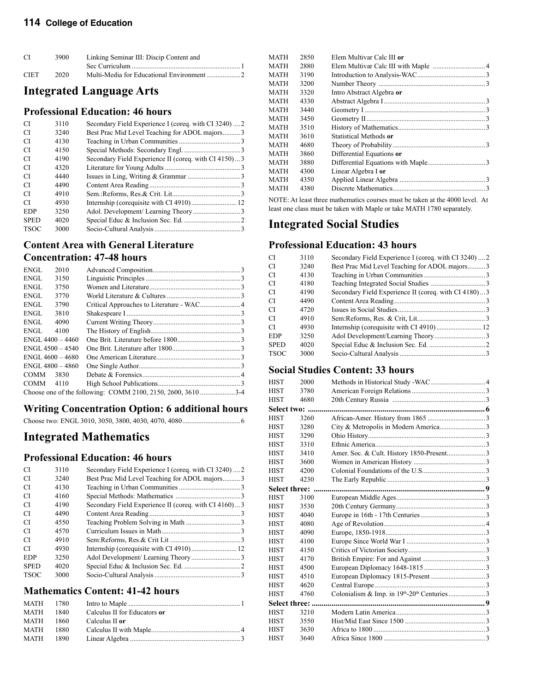## **114 College of Education**

| <sup>CI</sup> | 3900 | Linking Seminar III: Discip Content and                                          |
|---------------|------|----------------------------------------------------------------------------------|
|               |      | Sec Curriculum $\ldots$ . $\ldots$ . $\ldots$ . $\ldots$ . $\ldots$ . $\ldots$ . |
| <b>CIET</b>   | 2020 |                                                                                  |

## **Integrated Language Arts**

### **Professional Education: 46 hours**

| <b>CI</b>   | 3110 | Secondary Field Experience I (coreq. with CI 3240)  2 |  |
|-------------|------|-------------------------------------------------------|--|
| CI          | 3240 | Best Prac Mid Level Teaching for ADOL majors3         |  |
| CI          | 4130 |                                                       |  |
| CI          | 4150 |                                                       |  |
| CI          | 4190 | Secondary Field Experience II (coreq. with CI 4150)3  |  |
| CI          | 4320 |                                                       |  |
| CI          | 4440 |                                                       |  |
| CI          | 4490 |                                                       |  |
| CI          | 4910 |                                                       |  |
| CI          | 4930 |                                                       |  |
| <b>EDP</b>  | 3250 |                                                       |  |
| <b>SPED</b> | 4020 |                                                       |  |
| <b>TSOC</b> | 3000 |                                                       |  |
|             |      |                                                       |  |

### **Content Area with General Literature Concentration: 47-48 hours**

| ENGL                | 2010 |  |  |  |
|---------------------|------|--|--|--|
| ENGL                | 3150 |  |  |  |
| ENGL                | 3750 |  |  |  |
| ENGL                | 3770 |  |  |  |
| ENGL                | 3790 |  |  |  |
| ENGL                | 3810 |  |  |  |
| ENGL                | 4090 |  |  |  |
| ENGL                | 4100 |  |  |  |
| $ENGI. 4400 - 4460$ |      |  |  |  |
| $ENGI.4500 - 4540$  |      |  |  |  |
| $ENGI.4600 - 4680$  |      |  |  |  |
| $ENGL$ 4800 - 4860  |      |  |  |  |
| <b>COMM</b>         | 3830 |  |  |  |
| COMM -              | 4110 |  |  |  |
|                     |      |  |  |  |

## **Writing Concentration Option: 6 additional hours**

|--|

## **Integrated Mathematics**

## **Professional Education: 46 hours**

| CI          | 3110 | Secondary Field Experience I (coreq. with CI 3240)  2 |  |
|-------------|------|-------------------------------------------------------|--|
| CI          | 3240 | Best Prac Mid Level Teaching for ADOL majors3         |  |
| CI          | 4130 |                                                       |  |
| CI          | 4160 |                                                       |  |
| CI.         | 4190 | Secondary Field Experience II (coreq. with CI 4160)3  |  |
| CI          | 4490 |                                                       |  |
| CI          | 4550 |                                                       |  |
| CI.         | 4570 |                                                       |  |
| CI          | 4910 |                                                       |  |
| CI          | 4930 |                                                       |  |
| <b>EDP</b>  | 3250 |                                                       |  |
| <b>SPED</b> | 4020 |                                                       |  |
| <b>TSOC</b> | 3000 |                                                       |  |
|             |      |                                                       |  |

### **Mathematics Content: 41-42 hours**

| MATH 1780 |       |                              |
|-----------|-------|------------------------------|
| MATH      | 1840  | Calculus II for Educators or |
| MATH      | 1860. | Calculus II or               |
| MATH      | 1880. |                              |
| MATH 1890 |       |                              |

| MATH | 2850 | Elem Multivar Calc III or |  |
|------|------|---------------------------|--|
| MATH | 2880 |                           |  |
| MATH | 3190 |                           |  |
| MATH | 3200 |                           |  |
| MATH | 3320 | Intro Abstract Algebra or |  |
| MATH | 4330 |                           |  |
| MATH | 3440 |                           |  |
| MATH | 3450 |                           |  |
| MATH | 3510 |                           |  |
| MATH | 3610 | Statistical Methods or    |  |
| MATH | 4680 |                           |  |
| MATH | 3860 | Differential Equations or |  |
| MATH | 3880 |                           |  |
| MATH | 4300 | Linear Algebra I or       |  |
| MATH | 4350 |                           |  |
| MATH | 4380 |                           |  |
|      |      |                           |  |

NOTE: At least three mathematics courses must be taken at the 4000 level. At least one class must be taken with Maple or take MATH 1780 separately.

## **Integrated Social Studies**

### **Professional Education: 43 hours**

| СI          | 3110 | Secondary Field Experience I (coreq. with CI 3240)  2 |  |
|-------------|------|-------------------------------------------------------|--|
| СI          | 3240 | Best Prac Mid Level Teaching for ADOL majors3         |  |
| CI          | 4130 |                                                       |  |
| CI          | 4180 |                                                       |  |
| СI          | 4190 | Secondary Field Experience II (coreq. with CI 4180)3  |  |
| СI          | 4490 |                                                       |  |
| СI          | 4720 |                                                       |  |
| СI          | 4910 |                                                       |  |
| СI          | 4930 |                                                       |  |
| EDP         | 3250 |                                                       |  |
| <b>SPED</b> | 4020 |                                                       |  |
| TSOC        | 3000 |                                                       |  |
|             |      |                                                       |  |

### **Social Studies Content: 33 hours**

| HIST            | 2000 |  |
|-----------------|------|--|
| HIST            | 3780 |  |
| HIST            | 4680 |  |
| Select two:     |      |  |
| HIST            | 3260 |  |
| HIST            | 3280 |  |
| HIST            | 3290 |  |
| HIST            | 3310 |  |
| HIST            | 3410 |  |
| HIST            | 3600 |  |
| HIST            | 4200 |  |
| HIST            | 4230 |  |
| Select three:   |      |  |
| HIST            | 3100 |  |
| HIST            | 3530 |  |
| HIST            | 4040 |  |
| HIST            | 4080 |  |
| HIST            | 4090 |  |
| HIST            | 4100 |  |
| HIST            | 4150 |  |
| HIST            | 4170 |  |
| HIST            | 4500 |  |
| HIST            | 4510 |  |
| HIST            | 4620 |  |
| HIST            | 4760 |  |
| Select three: . |      |  |
| HIST            | 3210 |  |
| HIST            | 3550 |  |
| HIST            | 3630 |  |
| HIST            | 3640 |  |
|                 |      |  |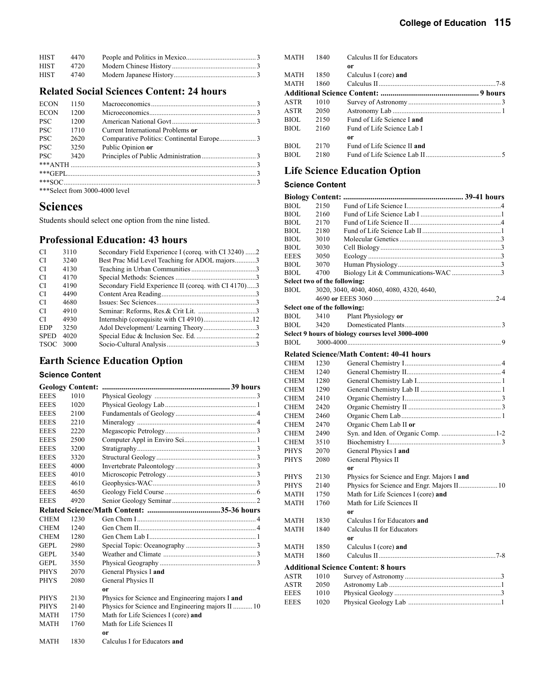| <b>HIST</b> | 4470 |  |
|-------------|------|--|
| <b>HIST</b> | 4720 |  |
| <b>HIST</b> | 4740 |  |

#### **Related Social Sciences Content: 24 hours**

| <b>ECON</b> | 1150 |                                   |  |
|-------------|------|-----------------------------------|--|
| <b>ECON</b> | 1200 |                                   |  |
| <b>PSC</b>  | 1200 |                                   |  |
| <b>PSC</b>  | 1710 | Current International Problems or |  |
| <b>PSC</b>  | 2620 |                                   |  |
| <b>PSC</b>  | 3250 | Public Opinion or                 |  |
| <b>PSC</b>  | 3420 |                                   |  |
|             |      |                                   |  |
|             |      |                                   |  |
|             |      |                                   |  |
|             |      | *** Select from 3000-4000 level   |  |

### **Sciences**

Students should select one option from the nine listed.

### **Professional Education: 43 hours**

| 3110 | Secondary Field Experience I (coreq. with CI 3240)2  |  |
|------|------------------------------------------------------|--|
| 3240 | Best Prac Mid Level Teaching for ADOL majors3        |  |
| 4130 |                                                      |  |
| 4170 |                                                      |  |
| 4190 | Secondary Field Experience II (coreq. with CI 4170)3 |  |
| 4490 |                                                      |  |
| 4680 |                                                      |  |
| 4910 |                                                      |  |
| 4930 |                                                      |  |
| 3250 |                                                      |  |
| 4020 |                                                      |  |
| 3000 |                                                      |  |
|      |                                                      |  |

## **Earth Science Education Option**

#### **Science Content**

|             | <b>Geology Content:</b> |                                                   |
|-------------|-------------------------|---------------------------------------------------|
| <b>EEES</b> | 1010                    |                                                   |
| <b>EEES</b> | 1020                    |                                                   |
| <b>EEES</b> | 2100                    |                                                   |
| <b>EEES</b> | 2210                    |                                                   |
| <b>EEES</b> | 2220                    |                                                   |
| <b>EEES</b> | 2500                    |                                                   |
| <b>EEES</b> | 3200                    |                                                   |
| <b>EEES</b> | 3320                    |                                                   |
| <b>EEES</b> | 4000                    |                                                   |
| <b>EEES</b> | 4010                    |                                                   |
| <b>EEES</b> | 4610                    |                                                   |
| <b>EEES</b> | 4650                    |                                                   |
| <b>EEES</b> | 4920                    |                                                   |
|             |                         |                                                   |
| <b>CHEM</b> | 1230                    |                                                   |
| <b>CHEM</b> | 1240                    |                                                   |
| <b>CHEM</b> | 1280                    |                                                   |
| <b>GEPL</b> | 2980                    |                                                   |
| GEPL        | 3540                    |                                                   |
| GEPL.       | 3550                    |                                                   |
| <b>PHYS</b> | 2070                    | General Physics I and                             |
| <b>PHYS</b> | 2080                    | General Physics II                                |
|             |                         | 0r                                                |
| <b>PHYS</b> | 2130                    | Physics for Science and Engineering majors I and  |
| <b>PHYS</b> | 2140                    | Physics for Science and Engineering majors II  10 |
| <b>MATH</b> | 1750                    | Math for Life Sciences I (core) and               |
| <b>MATH</b> | 1760                    | Math for Life Sciences II                         |
|             |                         | or                                                |
| <b>MATH</b> | 1830                    | Calculus I for Educators and                      |

| Calculus II for Educators   |  |
|-----------------------------|--|
| or                          |  |
| Calculus I (core) and       |  |
|                             |  |
|                             |  |
|                             |  |
|                             |  |
| Fund of Life Science Land   |  |
| Fund of Life Science Lab I  |  |
| or                          |  |
| Fund of Life Science II and |  |
|                             |  |

## **Life Science Education Option**

### **Science Content**

| <b>BIOL</b>                  | 2150 |                                                   |  |
|------------------------------|------|---------------------------------------------------|--|
| <b>BIOL</b>                  | 2160 |                                                   |  |
| <b>BIOL</b>                  | 2170 |                                                   |  |
| <b>BIOL</b>                  | 2180 |                                                   |  |
| <b>BIOL</b>                  | 3010 |                                                   |  |
| <b>BIOL</b>                  | 3030 |                                                   |  |
| <b>EEES</b>                  | 3050 |                                                   |  |
| <b>BIOL</b>                  | 3070 |                                                   |  |
| <b>BIOL</b>                  | 4700 | Biology Lit & Communications-WAC 3                |  |
| Select two of the following: |      |                                                   |  |
| <b>BIOL</b>                  |      | 3020, 3040, 4040, 4060, 4080, 4320, 4640,         |  |
|                              |      |                                                   |  |
| Select one of the following: |      |                                                   |  |
| <b>BIOL</b>                  | 3410 | Plant Physiology or                               |  |
| <b>BIOL</b>                  | 3420 |                                                   |  |
|                              |      | Select 9 hours of biology courses level 3000-4000 |  |
| BIOL                         |      |                                                   |  |
|                              |      | <b>Related Science/Math Content: 40-41 hours</b>  |  |
| <b>CHEM</b>                  | 1230 |                                                   |  |
| <b>CHEM</b>                  | 1240 |                                                   |  |
| <b>CHEM</b>                  | 1280 |                                                   |  |
| <b>CHEM</b>                  | 1290 |                                                   |  |
| <b>CHEM</b>                  | 2410 |                                                   |  |
| <b>CHEM</b>                  | 2420 |                                                   |  |
| <b>CHEM</b>                  | 2460 |                                                   |  |
| <b>CHEM</b>                  | 2470 | Organic Chem Lab II or                            |  |
| <b>CHEM</b>                  | 2490 |                                                   |  |
| <b>CHEM</b>                  | 3510 |                                                   |  |
| <b>PHYS</b>                  | 2070 | General Physics I and                             |  |
| <b>PHYS</b>                  | 2080 | General Physics II                                |  |
|                              |      | or                                                |  |
| <b>PHYS</b>                  | 2130 | Physics for Science and Engr. Majors I and        |  |
| <b>PHYS</b>                  | 2140 | Physics for Science and Engr. Majors II 10        |  |
| <b>MATH</b>                  | 1750 | Math for Life Sciences I (core) and               |  |
| <b>MATH</b>                  | 1760 | Math for Life Sciences II                         |  |
|                              |      | 0r                                                |  |
| <b>MATH</b>                  | 1830 | Calculus I for Educators and                      |  |
| <b>MATH</b>                  | 1840 | Calculus II for Educators                         |  |
|                              |      | <b>or</b>                                         |  |
| <b>MATH</b>                  | 1850 | Calculus I (core) and                             |  |
| <b>MATH</b>                  | 1860 |                                                   |  |
|                              |      | <b>Additional Science Content: 8 hours</b>        |  |
| ASTR                         | 1010 |                                                   |  |
| <b>ASTR</b>                  | 2050 |                                                   |  |
| <b>EEES</b>                  | 1010 |                                                   |  |
| <b>EEES</b>                  | 1020 |                                                   |  |
|                              |      |                                                   |  |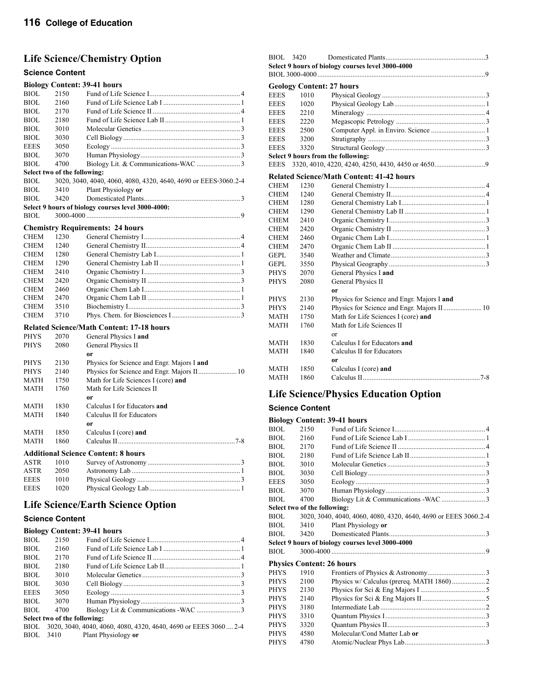## **Life Science/Chemistry Option**

#### **Science Content**

|             |                              | <b>Biology Content: 39-41 hours</b>                             |
|-------------|------------------------------|-----------------------------------------------------------------|
| <b>BIOL</b> | 2150                         |                                                                 |
| <b>BIOL</b> | 2160                         |                                                                 |
| <b>BIOL</b> | 2170                         |                                                                 |
| BIOL        | 2180                         |                                                                 |
| <b>BIOL</b> | 3010                         |                                                                 |
| <b>BIOL</b> | 3030                         |                                                                 |
| <b>EEES</b> | 3050                         |                                                                 |
| <b>BIOL</b> | 3070                         |                                                                 |
| BIOL        | 4700                         |                                                                 |
|             | Select two of the following: |                                                                 |
| BIOL        |                              | 3020, 3040, 4040, 4060, 4080, 4320, 4640, 4690 or EEES-3060.2-4 |
| <b>BIOL</b> | 3410                         | Plant Physiology or                                             |
| <b>BIOL</b> | 3420                         |                                                                 |
|             |                              | Select 9 hours of biology courses level 3000-4000:              |
| <b>BIOL</b> |                              |                                                                 |
|             |                              |                                                                 |
|             |                              | <b>Chemistry Requirements: 24 hours</b>                         |
| <b>CHEM</b> | 1230                         |                                                                 |
| <b>CHEM</b> | 1240                         |                                                                 |
| <b>CHEM</b> | 1280                         |                                                                 |
| <b>CHEM</b> | 1290                         |                                                                 |
| <b>CHEM</b> | 2410                         |                                                                 |
| <b>CHEM</b> | 2420                         |                                                                 |
| <b>CHEM</b> | 2460                         |                                                                 |
| <b>CHEM</b> | 2470                         |                                                                 |
| <b>CHEM</b> | 3510                         |                                                                 |
| <b>CHEM</b> | 3710                         |                                                                 |
|             |                              | <b>Related Science/Math Content: 17-18 hours</b>                |
| <b>PHYS</b> | 2070                         | General Physics I and                                           |
| <b>PHYS</b> | 2080                         | General Physics II                                              |
|             |                              | <b>or</b>                                                       |
| PHYS        | 2130                         | Physics for Science and Engr. Majors I and                      |
| <b>PHYS</b> | 2140                         | Physics for Science and Engr. Majors II 10                      |
| <b>MATH</b> | 1750                         | Math for Life Sciences I (core) and                             |
| <b>MATH</b> | 1760                         | Math for Life Sciences II                                       |
|             |                              | 0r                                                              |
| MATH        | 1830                         | Calculus I for Educators and                                    |
| <b>MATH</b> | 1840                         | Calculus II for Educators                                       |
|             |                              | 0r                                                              |
| <b>MATH</b> | 1850                         | Calculus I (core) and                                           |
| <b>MATH</b> | 1860                         |                                                                 |
|             |                              | <b>Additional Science Content: 8 hours</b>                      |
| <b>ASTR</b> | 1010                         |                                                                 |
| <b>ASTR</b> | 2050                         |                                                                 |
| <b>EEES</b> | 1010                         |                                                                 |
|             |                              |                                                                 |
| <b>EEES</b> | 1020                         |                                                                 |

### **Life Science/Earth Science Option**

#### **Science Content**

#### **Biology Content: 39-41 hours**

| BIOL        | 2150                         |                                                                  |  |  |
|-------------|------------------------------|------------------------------------------------------------------|--|--|
| BIOL        | 2160                         |                                                                  |  |  |
| BIOL        | 2170                         |                                                                  |  |  |
| BIOL        | 2180                         |                                                                  |  |  |
| BIOL        | 3010                         |                                                                  |  |  |
| BIOL        | 3030                         |                                                                  |  |  |
| <b>EEES</b> | 3050                         |                                                                  |  |  |
| BIOL        | 3070                         |                                                                  |  |  |
| BIOL        | 4700                         |                                                                  |  |  |
|             | Select two of the following: |                                                                  |  |  |
| BIOL.       |                              | 3020, 3040, 4040, 4060, 4080, 4320, 4640, 4690 or EEES 3060, 2-4 |  |  |
|             | BIOL 3410                    | Plant Physiology or                                              |  |  |

| BIOL.       | 3420 |                                                   |  |
|-------------|------|---------------------------------------------------|--|
|             |      | Select 9 hours of biology courses level 3000-4000 |  |
|             |      |                                                   |  |
|             |      | <b>Geology Content: 27 hours</b>                  |  |
| <b>EEES</b> | 1010 |                                                   |  |
| <b>EEES</b> | 1020 |                                                   |  |
| <b>EEES</b> | 2210 |                                                   |  |
| <b>EEES</b> | 2220 |                                                   |  |
| <b>EEES</b> | 2500 |                                                   |  |
| <b>EEES</b> | 3200 |                                                   |  |
| <b>EEES</b> | 3320 |                                                   |  |
|             |      | Select 9 hours from the following:                |  |
| <b>EEES</b> |      |                                                   |  |
|             |      | <b>Related Science/Math Content: 41-42 hours</b>  |  |
| CHEM        | 1230 |                                                   |  |
| CHEM        | 1240 |                                                   |  |
| CHEM        | 1280 |                                                   |  |
| CHEM        | 1290 |                                                   |  |
| CHEM        | 2410 |                                                   |  |
| CHEM        | 2420 |                                                   |  |
| CHEM        | 2460 |                                                   |  |
| <b>CHEM</b> | 2470 |                                                   |  |
| GEPL        | 3540 |                                                   |  |
| GEPL.       | 3550 |                                                   |  |
| PHYS        | 2070 | General Physics I and                             |  |
| PHYS        | 2080 | General Physics II                                |  |
|             |      | or                                                |  |
| PHYS        | 2130 | Physics for Science and Engr. Majors I and        |  |
| PHYS        | 2140 | Physics for Science and Engr. Majors II 10        |  |
| MATH        | 1750 | Math for Life Sciences I (core) and               |  |
| MATH        | 1760 | Math for Life Sciences II                         |  |
|             |      | $\alpha$ r                                        |  |
| MATH        | 1830 | Calculus I for Educators and                      |  |
| <b>MATH</b> | 1840 | Calculus II for Educators                         |  |
|             |      | or                                                |  |
| MATH        | 1850 | Calculus I (core) and                             |  |
| <b>MATH</b> | 1860 |                                                   |  |

## **Life Science/Physics Education Option**

#### **Science Content**

#### **Biology Content: 39-41 hours**

| BIOL        | 2150                         |                                                                 |  |
|-------------|------------------------------|-----------------------------------------------------------------|--|
| BIOL        | 2160                         |                                                                 |  |
| BIOL        | 2170                         |                                                                 |  |
| BIOL        | 2180                         |                                                                 |  |
| BIOL        | 3010                         |                                                                 |  |
| BIOL        | 3030                         |                                                                 |  |
| EEES        | 3050                         |                                                                 |  |
| BIOL        | 3070                         |                                                                 |  |
| BIOL        | 4700                         |                                                                 |  |
|             | Select two of the following: |                                                                 |  |
| BIOL.       |                              | 3020, 3040, 4040, 4060, 4080, 4320, 4640, 4690 or EEES 3060.2-4 |  |
| BIOL        | 3410                         | Plant Physiology or                                             |  |
| BIOL.       | 3420                         |                                                                 |  |
|             |                              | Select 9 hours of biology courses level 3000-4000               |  |
| BIOL        |                              |                                                                 |  |
|             |                              | <b>Physics Content: 26 hours</b>                                |  |
| <b>PHYS</b> | 1910                         |                                                                 |  |
| <b>PHYS</b> | 2100                         | Physics w/ Calculus (prereq. MATH 1860) 2                       |  |
| <b>PHYS</b> | 2130                         |                                                                 |  |
| <b>PHYS</b> | 2140                         |                                                                 |  |
| PHYS        | 3180                         |                                                                 |  |
| <b>PHYS</b> | 3310                         |                                                                 |  |
| <b>PHYS</b> | 3320                         |                                                                 |  |
| PHYS        | 4580                         | Molecular/Cond Matter Lab or                                    |  |
| PHYS        | 4780                         |                                                                 |  |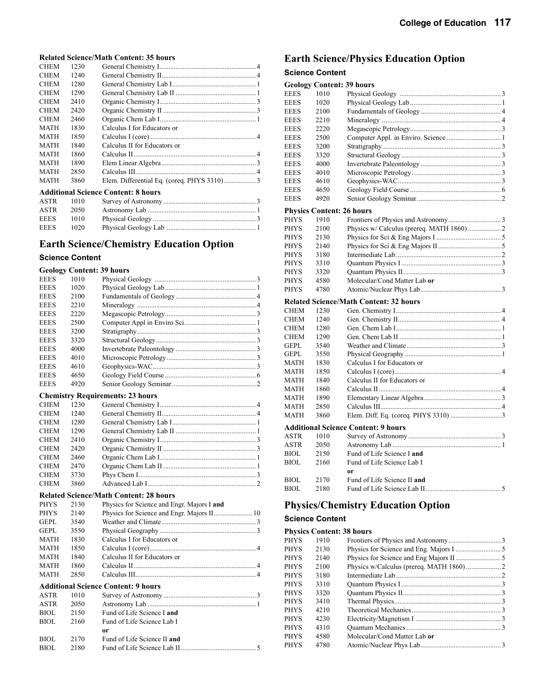#### **Related Science/Math Content: 35 hours**

| <b>CHEM</b>                                | 1230 |                              |  |  |
|--------------------------------------------|------|------------------------------|--|--|
| <b>CHEM</b>                                | 1240 |                              |  |  |
| <b>CHEM</b>                                | 1280 |                              |  |  |
| <b>CHEM</b>                                | 1290 |                              |  |  |
| <b>CHEM</b>                                | 2410 |                              |  |  |
| <b>CHEM</b>                                | 2420 |                              |  |  |
| <b>CHEM</b>                                | 2460 |                              |  |  |
| <b>MATH</b>                                | 1830 | Calculus I for Educators or  |  |  |
| <b>MATH</b>                                | 1850 |                              |  |  |
| <b>MATH</b>                                | 1840 | Calculus II for Educators or |  |  |
| <b>MATH</b>                                | 1860 |                              |  |  |
| <b>MATH</b>                                | 1890 |                              |  |  |
| <b>MATH</b>                                | 2850 |                              |  |  |
| <b>MATH</b>                                | 3860 |                              |  |  |
| <b>Additional Science Content: 8 hours</b> |      |                              |  |  |

| ASTR 1010   |        |  |
|-------------|--------|--|
| ASTR        | -2050- |  |
| <b>EEES</b> | -1010  |  |
| <b>EEES</b> | - 1020 |  |

## **Earth Science/Chemistry Education Option**

#### **Science Content**

#### **Geology Content: 39 hours**

| <b>EEES</b> | 1010 |                                         |  |
|-------------|------|-----------------------------------------|--|
| <b>EEES</b> | 1020 |                                         |  |
| <b>EEES</b> | 2100 |                                         |  |
| <b>EEES</b> | 2210 |                                         |  |
| <b>EEES</b> | 2220 |                                         |  |
| <b>EEES</b> | 2500 |                                         |  |
| <b>EEES</b> | 3200 |                                         |  |
| <b>EEES</b> | 3320 |                                         |  |
| <b>EEES</b> | 4000 |                                         |  |
| <b>EEES</b> | 4010 |                                         |  |
| <b>EEES</b> | 4610 |                                         |  |
| <b>EEES</b> | 4650 |                                         |  |
| <b>EEES</b> | 4920 |                                         |  |
|             |      | <b>Chemistry Requirements: 23 hours</b> |  |
| <b>CHEM</b> |      |                                         |  |
|             |      |                                         |  |

#### **Related Science/Math Content: 28 hours**

| <b>PHYS</b> | 2130 | Physics for Science and Engr. Majors I and   |  |
|-------------|------|----------------------------------------------|--|
| <b>PHYS</b> | 2140 |                                              |  |
| <b>GEPL</b> | 3540 |                                              |  |
| GEPL        | 3550 |                                              |  |
| <b>MATH</b> | 1830 | Calculus I for Educators or                  |  |
| <b>MATH</b> | 1850 |                                              |  |
| <b>MATH</b> | 1840 | Calculus II for Educators or                 |  |
| <b>MATH</b> | 1860 | Calculus $II$ <sub>11</sub> $1$ <sup>4</sup> |  |
| <b>MATH</b> | 2850 |                                              |  |
|             |      |                                              |  |

#### **Additional Science Content: 9 hours**

| ASTR        | 1010 |                             |
|-------------|------|-----------------------------|
| <b>ASTR</b> | 2050 |                             |
| <b>BIOL</b> | 2150 | Fund of Life Science I and  |
| <b>BIOL</b> | 2160 | Fund of Life Science Lab I  |
|             |      | or                          |
| <b>BIOL</b> | 2170 | Fund of Life Science II and |
| <b>BIOL</b> | 2180 |                             |

## **Earth Science/Physics Education Option**

### **Science Content**

|             |      | <b>Geology Content: 39 hours</b>              |  |
|-------------|------|-----------------------------------------------|--|
| <b>EEES</b> | 1010 |                                               |  |
| EEES        | 1020 |                                               |  |
| EEES        | 2100 |                                               |  |
| EEES        | 2210 |                                               |  |
| EEES        | 2220 |                                               |  |
| <b>EEES</b> | 2500 |                                               |  |
| EEES        | 3200 |                                               |  |
| EEES        | 3320 |                                               |  |
| EEES        | 4000 |                                               |  |
| EEES        | 4010 |                                               |  |
| EEES        | 4610 |                                               |  |
| EEES        | 4650 |                                               |  |
| <b>EEES</b> | 4920 |                                               |  |
|             |      | <b>Physics Content: 26 hours</b>              |  |
| PHYS        | 1910 |                                               |  |
| PHYS        | 2100 | Physics w/ Calculus (prereq. MATH 1860) 2     |  |
| PHYS        | 2130 |                                               |  |
| PHYS        | 2140 |                                               |  |
| PHYS        | 3180 |                                               |  |
| PHYS        | 3310 |                                               |  |
| PHYS        | 3320 |                                               |  |
| PHYS        | 4580 | Molecular/Cond Matter Lab or                  |  |
| PHYS        | 4780 |                                               |  |
|             |      | <b>Related Science/Math Content: 32 hours</b> |  |
| CHEM        | 1230 |                                               |  |
| CHEM        | 1240 |                                               |  |
| CHEM        | 1280 |                                               |  |
| CHEM        | 1290 |                                               |  |
| GEPL        | 3540 |                                               |  |
| GEPL        | 3550 |                                               |  |
| MATH        | 1830 | Calculus I for Educators or                   |  |
| MATH        | 1850 |                                               |  |
| MATH        | 1840 | Calculus II for Educators or                  |  |
| MATH        | 1860 |                                               |  |
| MATH        | 1890 |                                               |  |
| MATH        | 2850 |                                               |  |
| MATH        | 3860 |                                               |  |
|             |      | Additional Science Content: 9 hours           |  |
| ASTR        | 1010 |                                               |  |
| ASTR        | 2050 |                                               |  |
| BIOL        | 2150 | Fund of Life Science I and                    |  |
| BIOL        | 2160 | Fund of Life Science Lab I                    |  |
|             |      | 0r                                            |  |
| BIOL        | 2170 | Fund of Life Science II and                   |  |
| BIOL        | 2180 |                                               |  |
|             |      |                                               |  |

## **Physics/Chemistry Education Option**

#### **Science Content**

## **Physics Content: 38 hours**<br>PHYS 1910 Frontiers

| <b>PHYS</b> | 1910 |                              |  |
|-------------|------|------------------------------|--|
| <b>PHYS</b> | 2130 |                              |  |
| <b>PHYS</b> | 2140 |                              |  |
| PHYS        | 2100 |                              |  |
| <b>PHYS</b> | 3180 |                              |  |
| PHYS        | 3310 |                              |  |
| PHYS        | 3320 |                              |  |
| PHYS        | 3410 |                              |  |
| PHYS        | 4210 |                              |  |
| PHYS        | 4230 |                              |  |
| PHYS        | 4310 |                              |  |
| <b>PHYS</b> | 4580 | Molecular/Cond Matter Lab or |  |
| PHYS        | 4780 |                              |  |
|             |      |                              |  |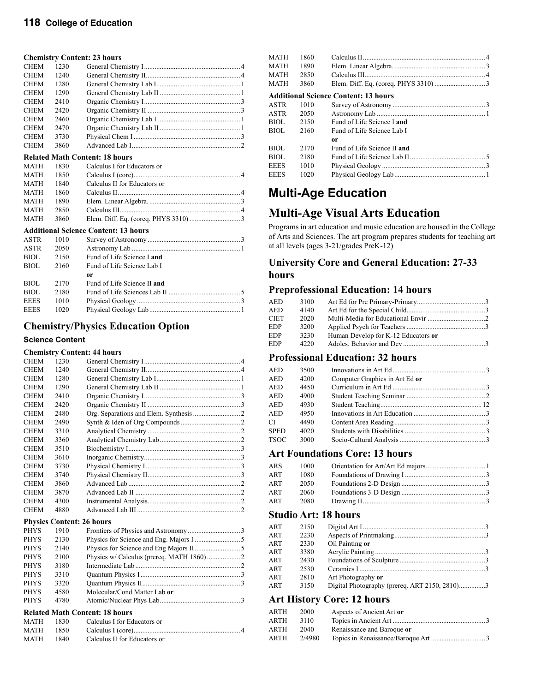#### **Chemistry Content: 23 hours**

|             |      | $\mathbf{C}$ nthisti ( $\mathbf{C}$ onttiit) 20 notii s |  |
|-------------|------|---------------------------------------------------------|--|
| <b>CHEM</b> | 1230 |                                                         |  |
| <b>CHEM</b> | 1240 |                                                         |  |
| <b>CHEM</b> | 1280 |                                                         |  |
| <b>CHEM</b> | 1290 |                                                         |  |
| <b>CHEM</b> | 2410 |                                                         |  |
| <b>CHEM</b> | 2420 |                                                         |  |
| <b>CHEM</b> | 2460 |                                                         |  |
| <b>CHEM</b> | 2470 |                                                         |  |
| <b>CHEM</b> | 3730 |                                                         |  |
| <b>CHEM</b> | 3860 |                                                         |  |
|             |      | <b>Related Math Content: 18 hours</b>                   |  |
| <b>MATH</b> |      | 1830 Calculus I for Educators or                        |  |

| MATH 1840 | Calculus II for Educators or |  |
|-----------|------------------------------|--|
| MATH 1860 |                              |  |
| MATH 1890 |                              |  |
| MATH 2850 |                              |  |
| MATH 3860 |                              |  |

#### **Additional Science Content: 13 hours**

| ASTR        | 1010 |                             |  |
|-------------|------|-----------------------------|--|
| ASTR        | 2050 |                             |  |
| <b>BIOL</b> | 2150 | Fund of Life Science I and  |  |
| <b>BIOL</b> | 2160 | Fund of Life Science Lab I  |  |
|             |      | 0r                          |  |
| <b>BIOL</b> | 2170 | Fund of Life Science II and |  |
| <b>BIOL</b> | 2180 |                             |  |
| <b>EEES</b> | 1010 |                             |  |
| <b>EEES</b> | 1020 |                             |  |

#### **Chemistry/Physics Education Option**

#### **Science Content**

#### **Chemistry Content: 44 hours**

| <b>CHEM</b> | 1230 |  |
|-------------|------|--|
| <b>CHEM</b> | 1240 |  |
| <b>CHEM</b> | 1280 |  |
| <b>CHEM</b> | 1290 |  |
| <b>CHEM</b> | 2410 |  |
| <b>CHEM</b> | 2420 |  |
| <b>CHEM</b> | 2480 |  |
| <b>CHEM</b> | 2490 |  |
| <b>CHEM</b> | 3310 |  |
| <b>CHEM</b> | 3360 |  |
| <b>CHEM</b> | 3510 |  |
| <b>CHEM</b> | 3610 |  |
| <b>CHEM</b> | 3730 |  |
| <b>CHEM</b> | 3740 |  |
| <b>CHEM</b> | 3860 |  |
| <b>CHEM</b> | 3870 |  |
| <b>CHEM</b> | 4300 |  |
| <b>CHEM</b> | 4880 |  |

#### **Physics Content: 26 hours**

| <b>PHYS</b> | 1910 |                                                                                                                                                                                                                                                                                                  |  |
|-------------|------|--------------------------------------------------------------------------------------------------------------------------------------------------------------------------------------------------------------------------------------------------------------------------------------------------|--|
| <b>PHYS</b> | 2130 |                                                                                                                                                                                                                                                                                                  |  |
| <b>PHYS</b> | 2140 |                                                                                                                                                                                                                                                                                                  |  |
| <b>PHYS</b> | 2100 |                                                                                                                                                                                                                                                                                                  |  |
| <b>PHYS</b> | 3180 |                                                                                                                                                                                                                                                                                                  |  |
| <b>PHYS</b> | 3310 |                                                                                                                                                                                                                                                                                                  |  |
| <b>PHYS</b> | 3320 |                                                                                                                                                                                                                                                                                                  |  |
| <b>PHYS</b> | 4580 | Molecular/Cond Matter Lab or                                                                                                                                                                                                                                                                     |  |
| <b>PHYS</b> | 4780 |                                                                                                                                                                                                                                                                                                  |  |
|             |      | $P_{1}$ $\cdots$ $P_{n}$ $\cdots$ $P_{n}$ $\cdots$ $P_{n}$ $\cdots$ $P_{n}$ $\cdots$ $P_{n}$ $\cdots$ $P_{n}$ $\cdots$ $P_{n}$ $\cdots$ $P_{n}$ $\cdots$ $P_{n}$ $\cdots$ $P_{n}$ $\cdots$ $P_{n}$ $\cdots$ $P_{n}$ $\cdots$ $P_{n}$ $\cdots$ $P_{n}$ $\cdots$ $P_{n}$ $\cdots$ $P_{n}$ $\cdots$ |  |

#### **Related Math Content: 18 hours**

| MATH 1830 |      | Calculus I for Educators or  |
|-----------|------|------------------------------|
| MATH 1850 |      |                              |
| MATH      | 1840 | Calculus II for Educators or |

| <b>MATH</b> | 1860 |                                             |  |
|-------------|------|---------------------------------------------|--|
| <b>MATH</b> | 1890 |                                             |  |
| <b>MATH</b> | 2850 |                                             |  |
| <b>MATH</b> | 3860 |                                             |  |
|             |      | <b>Additional Science Content: 13 hours</b> |  |
| <b>ASTR</b> | 1010 |                                             |  |
| ASTR        | 2050 |                                             |  |
| BIOL.       | 2150 | Fund of Life Science Land                   |  |
| BIOL        | 2160 | Fund of Life Science Lab I                  |  |
|             |      | or                                          |  |
| BIOL        | 2170 | Fund of Life Science II and                 |  |
| BIOL        | 2180 |                                             |  |
| <b>EEES</b> | 1010 |                                             |  |
| <b>EEES</b> | 1020 |                                             |  |
|             |      |                                             |  |

## **Multi-Age Education**

## **Multi-Age Visual Arts Education**

Programs in art education and music education are housed in the College of Arts and Sciences. The art program prepares students for teaching art at all levels (ages 3-21/grades PreK-12)

### **University Core and General Education: 27-33 hours**

#### **Preprofessional Education: 14 hours**

| AED        | 3100 |                                     |  |
|------------|------|-------------------------------------|--|
| AED        | 4140 |                                     |  |
| CIET       | 2020 |                                     |  |
| EDP        | 3200 |                                     |  |
| <b>EDP</b> | 3230 | Human Develop for K-12 Educators or |  |
| <b>EDP</b> | 4220 |                                     |  |

### **Professional Education: 32 hours**

| <b>AED</b>  | 3500 |                                |  |
|-------------|------|--------------------------------|--|
| AED         | 4200 | Computer Graphics in Art Ed or |  |
| <b>AED</b>  | 4450 |                                |  |
| AED         | 4900 |                                |  |
| <b>AED</b>  | 4930 |                                |  |
| <b>AED</b>  | 4950 |                                |  |
| СL          | 4490 |                                |  |
| <b>SPED</b> | 4020 |                                |  |
| <b>TSOC</b> | 3000 |                                |  |
|             |      |                                |  |

### **Art Foundations Core: 13 hours**

| ARS | 1000  |  |
|-----|-------|--|
| ART | 1080. |  |
| ART | 2050  |  |
| ART | 2060  |  |
| ART | 2080  |  |

### **Studio Art: 18 hours**

| ART | 2150 |                                               |  |
|-----|------|-----------------------------------------------|--|
| ART | 2230 |                                               |  |
| ART | 2330 | Oil Painting or                               |  |
| ART | 3380 |                                               |  |
| ART | 2430 |                                               |  |
| ART | 2530 |                                               |  |
| ART | 2810 | Art Photography or                            |  |
| ART | 3150 | Digital Photography (prereq. ART 2150, 2810)3 |  |
|     |      |                                               |  |

#### **Art History Core: 12 hours**

| ARTH | 2000   | Aspects of Ancient Art or  |  |
|------|--------|----------------------------|--|
| ARTH | 3110   |                            |  |
| ARTH | 2040   | Renaissance and Baroque or |  |
| ARTH | 2/4980 |                            |  |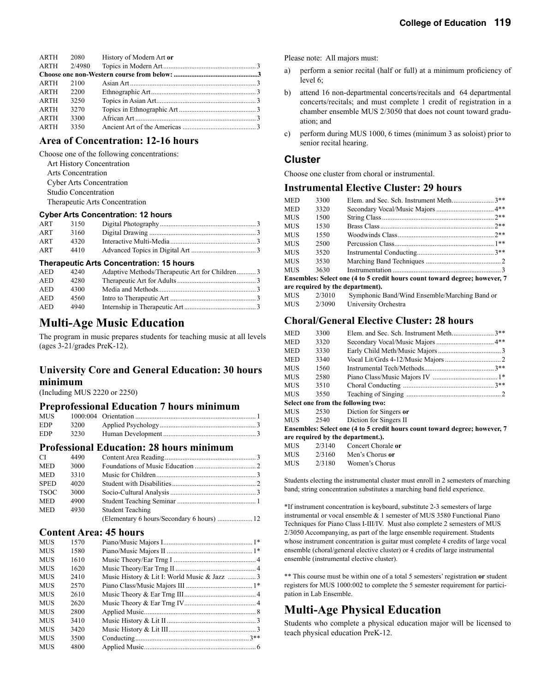| ARTH        | 2080   | History of Modern Art or |  |
|-------------|--------|--------------------------|--|
| ARTH        | 2/4980 |                          |  |
|             |        |                          |  |
| <b>ARTH</b> | 2100   |                          |  |
| ARTH        | 2200   |                          |  |
| <b>ARTH</b> | 3250   |                          |  |
| ARTH        | 32.70  |                          |  |
| ARTH        | 3300   |                          |  |
| <b>ARTH</b> | 3350   |                          |  |

#### **Area of Concentration: 12-16 hours**

Choose one of the following concentrations: Art History Concentration Arts Concentration Cyber Arts Concentration Studio Concentration Therapeutic Arts Concentration

#### **Cyber Arts Concentration: 12 hours**

| ART | 3150 |  |
|-----|------|--|
| ART | 3160 |  |
| ART | 4320 |  |
| ART | 4410 |  |

#### **Therapeutic Arts Concentration: 15 hours**

| AED | 4240 | Adaptive Methods/Therapeutic Art for Children3 |  |
|-----|------|------------------------------------------------|--|
| AED | 4280 |                                                |  |
| AED | 4300 |                                                |  |
| AED | 4560 |                                                |  |
| AED | 4940 |                                                |  |

## **Multi-Age Music Education**

The program in music prepares students for teaching music at all levels (ages 3-21/grades PreK-12).

### **University Core and General Education: 30 hours minimum**

(Including MUS 2220 or 2250)

#### **Preprofessional Education 7 hours minimum**

| MUS -      |  |  |
|------------|--|--|
| <b>EDP</b> |  |  |
| <b>EDP</b> |  |  |

#### **Professional Education: 28 hours minimum**

| CI.         | 4490 |                         |  |
|-------------|------|-------------------------|--|
| <b>MED</b>  | 3000 |                         |  |
| <b>MED</b>  | 3310 |                         |  |
| <b>SPED</b> | 4020 |                         |  |
| <b>TSOC</b> | 3000 |                         |  |
| <b>MED</b>  | 4900 |                         |  |
| <b>MED</b>  | 4930 | <b>Student Teaching</b> |  |
|             |      |                         |  |

#### **Content Area: 45 hours**

| <b>MUS</b> | 1570 |                                             |  |
|------------|------|---------------------------------------------|--|
| <b>MUS</b> | 1580 |                                             |  |
| <b>MUS</b> | 1610 |                                             |  |
| <b>MUS</b> | 1620 |                                             |  |
| <b>MUS</b> | 2410 | Music History & Lit I: World Music & Jazz 3 |  |
| <b>MUS</b> | 2570 |                                             |  |
| <b>MUS</b> | 2610 |                                             |  |
| <b>MUS</b> | 2620 |                                             |  |
| <b>MUS</b> | 2800 |                                             |  |
| <b>MUS</b> | 3410 |                                             |  |
| <b>MUS</b> | 3420 |                                             |  |
| <b>MUS</b> | 3500 |                                             |  |
| <b>MUS</b> | 4800 |                                             |  |

Please note: All majors must:

- a) perform a senior recital (half or full) at a minimum proficiency of level 6;
- b) attend 16 non-departmental concerts/recitals and 64 departmental concerts/recitals; and must complete 1 credit of registration in a chamber ensemble MUS 2/3050 that does not count toward graduation; and
- c) perform during MUS 1000, 6 times (minimum 3 as soloist) prior to senior recital hearing.

#### **Cluster**

Choose one cluster from choral or instrumental.

#### **Instrumental Elective Cluster: 29 hours**

| <b>MED</b> | 3300 | Elem. and Sec. Sch. Instrument Meth3**                                     |       |
|------------|------|----------------------------------------------------------------------------|-------|
| <b>MED</b> | 3320 |                                                                            |       |
| MUS        | 1500 |                                                                            | $2**$ |
| MUS        | 1530 |                                                                            |       |
| MUS        | 1550 |                                                                            |       |
| MUS        | 2500 |                                                                            |       |
| MUS        | 3520 |                                                                            |       |
| MUS.       | 3530 |                                                                            |       |
| MUS        | 3630 |                                                                            |       |
|            |      | Ensembles: Select one (4 to 5 credit hours count toward degree; however, 7 |       |
|            |      | are required by the department).                                           |       |
|            |      | MUS 2/3010 Symphonic Band/Wind Ensemble/Marching Band or                   |       |

| MUS | 2/3010 | Symphonic Band/Wind Ensemble/Marching Band or |
|-----|--------|-----------------------------------------------|
| MUS | 2/3090 | University Orchestra                          |

#### **Choral/General Elective Cluster: 28 hours**

| <b>MED</b> | 3300   | Elem. and Sec. Sch. Instrument Meth3**                                     |  |
|------------|--------|----------------------------------------------------------------------------|--|
| <b>MED</b> | 3320   |                                                                            |  |
| <b>MED</b> | 3330   |                                                                            |  |
| <b>MED</b> | 3340   |                                                                            |  |
| <b>MUS</b> | 1560   |                                                                            |  |
| <b>MUS</b> | 2580   |                                                                            |  |
| <b>MUS</b> | 3510   |                                                                            |  |
| <b>MUS</b> | 3550   |                                                                            |  |
|            |        | Select one from the following two:                                         |  |
| MUS.       | 2530   | Diction for Singers or                                                     |  |
| MUS.       | 2540   | Diction for Singers II                                                     |  |
|            |        | Ensembles: Select one (4 to 5 credit hours count toward degree; however, 7 |  |
|            |        | are required by the department.).                                          |  |
| <b>MUS</b> | 2/3140 | Concert Chorale or                                                         |  |
| MUS        | 2/3160 | Men's Chorus or                                                            |  |
| <b>MUS</b> | 2/3180 | Women's Chorus                                                             |  |

Students electing the instrumental cluster must enroll in 2 semesters of marching band; string concentration substitutes a marching band field experience.

\*If instrument concentration is keyboard, substitute 2-3 semesters of large instrumental or vocal ensemble & 1 semester of MUS 3580 Functional Piano Techniques for Piano Class I-III/IV. Must also complete 2 semesters of MUS 2/3050 Accompanying, as part of the large ensemble requirement. Students whose instrument concentration is guitar must complete 4 credits of large vocal ensemble (choral/general elective cluster) or 4 credits of large instrumental ensemble (instrumental elective cluster).

\*\* This course must be within one of a total 5 semesters' registration **or** student registers for MUS 1000:002 to complete the 5 semester requirement for participation in Lab Ensemble.

## **Multi-Age Physical Education**

Students who complete a physical education major will be licensed to teach physical education PreK-12.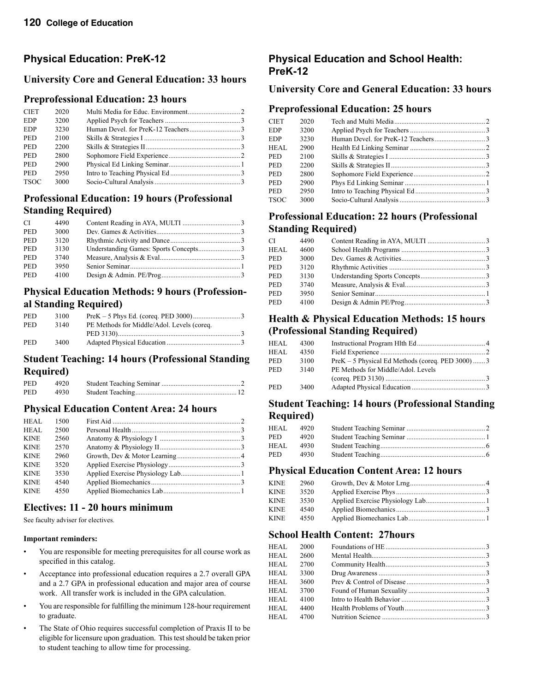## **Physical Education: PreK-12**

### **University Core and General Education: 33 hours**

### **Preprofessional Education: 23 hours**

| <b>CIET</b> | 2020 |  |
|-------------|------|--|
| <b>EDP</b>  | 3200 |  |
| <b>EDP</b>  | 3230 |  |
| <b>PED</b>  | 2100 |  |
| <b>PED</b>  | 2200 |  |
| <b>PED</b>  | 2800 |  |
| <b>PED</b>  | 2900 |  |
| <b>PED</b>  | 2950 |  |
| <b>TSOC</b> | 3000 |  |
|             |      |  |

### **Professional Education: 19 hours (Professional Standing Required)**

| CI.        | 4490 |  |
|------------|------|--|
| <b>PED</b> | 3000 |  |
| <b>PED</b> | 3120 |  |
| <b>PED</b> | 3130 |  |
| <b>PED</b> | 3740 |  |
| <b>PED</b> | 3950 |  |
| PED        | 4100 |  |
|            |      |  |

## **Physical Education Methods: 9 hours (Professional Standing Required)**

| <b>PED</b> | 3100 |                                            |  |
|------------|------|--------------------------------------------|--|
| <b>PED</b> | 3140 | PE Methods for Middle/Adol. Levels (coreq. |  |
|            |      |                                            |  |
| <b>PED</b> | 3400 |                                            |  |

### **Student Teaching: 14 hours (Professional Standing Required)**

| <b>PED</b> | 4920 |  |
|------------|------|--|
| <b>PED</b> | 4930 |  |

### **Physical Education Content Area: 24 hours**

| HEAL        | 1500 |  |
|-------------|------|--|
| HEAL        | 2500 |  |
| <b>KINE</b> | 2560 |  |
| <b>KINE</b> | 2570 |  |
| <b>KINE</b> | 2960 |  |
| <b>KINE</b> | 3520 |  |
| <b>KINE</b> | 3530 |  |
| <b>KINE</b> | 4540 |  |
| <b>KINE</b> | 4550 |  |

### **Electives: 11 - 20 hours minimum**

See faculty adviser for electives.

#### **Important reminders:**

- You are responsible for meeting prerequisites for all course work as specified in this catalog.
- Acceptance into professional education requires a 2.7 overall GPA and a 2.7 GPA in professional education and major area of course work. All transfer work is included in the GPA calculation.
- You are responsible for fulfilling the minimum 128-hour requirement to graduate.
- The State of Ohio requires successful completion of Praxis II to be eligible for licensure upon graduation. This test should be taken prior to student teaching to allow time for processing.

### **Physical Education and School Health: PreK-12**

### **University Core and General Education: 33 hours**

#### **Preprofessional Education: 25 hours**

| <b>CIET</b> | 2020 |  |
|-------------|------|--|
| <b>EDP</b>  | 3200 |  |
| EDP         | 3230 |  |
| HEAL.       | 2900 |  |
| PED         | 2100 |  |
| PED         | 2200 |  |
| PED         | 2800 |  |
| PED         | 2900 |  |
| PED         | 2950 |  |
| TSOC        | 3000 |  |

### **Professional Education: 22 hours (Professional Standing Required)**

| СI         | 4490 |  |
|------------|------|--|
| HEAL       | 4600 |  |
| PED        | 3000 |  |
| PED        | 3120 |  |
| PED        | 3130 |  |
| PED        | 3740 |  |
| PED        | 3950 |  |
| <b>PED</b> | 4100 |  |
|            |      |  |

### **Health & Physical Education Methods: 15 hours (Professional Standing Required)**

| HEAL | 4300 |                                                   |  |
|------|------|---------------------------------------------------|--|
| HEAL | 4350 |                                                   |  |
| PED  | 3100 | $PreK - 5$ Physical Ed Methods (coreq. PED 3000)3 |  |
| PED  | 3140 | PE Methods for Middle/Adol. Levels                |  |
|      |      |                                                   |  |
| PED  | 3400 |                                                   |  |

### **Student Teaching: 14 hours (Professional Standing Required)**

| HEAL. | 4920 |  |
|-------|------|--|
| PED   | 4920 |  |
| HEAL. | 4930 |  |
| PED.  | 4930 |  |

#### **Physical Education Content Area: 12 hours**

| <b>KINE</b> | 2960 |  |
|-------------|------|--|
| <b>KINE</b> | 3520 |  |
| KINE        | 3530 |  |
| <b>KINE</b> | 4540 |  |
| <b>KINE</b> | 4550 |  |
|             |      |  |

#### **School Health Content: 27hours**

| HEAL. | 2000 |  |
|-------|------|--|
| HEAL  | 2600 |  |
| HEAL. | 2700 |  |
| HEAL. | 3300 |  |
| HEAL. | 3600 |  |
| HEAL  | 3700 |  |
| HEAL. | 4100 |  |
| HEAL. | 4400 |  |
| HEAL. | 4700 |  |
|       |      |  |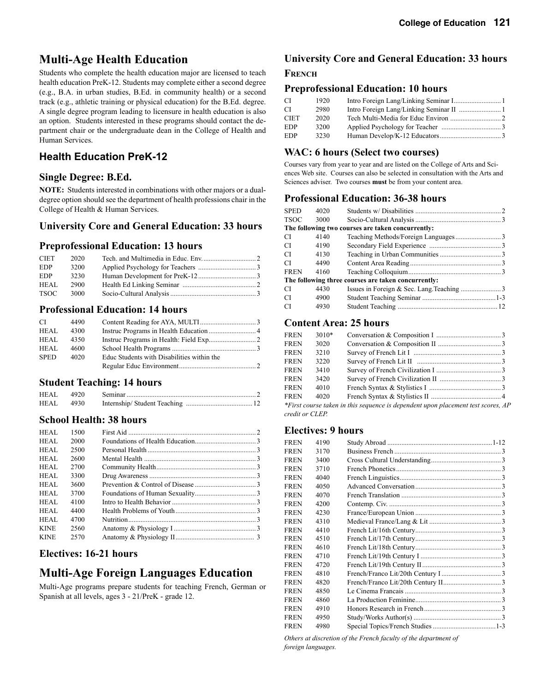## **Multi-Age Health Education**

Students who complete the health education major are licensed to teach health education PreK-12. Students may complete either a second degree (e.g., B.A. in urban studies, B.Ed. in community health) or a second track (e.g., athletic training or physical education) for the B.Ed. degree. A single degree program leading to licensure in health education is also an option. Students interested in these programs should contact the department chair or the undergraduate dean in the College of Health and Human Services.

## **Health Education PreK-12**

#### **Single Degree: B.Ed.**

**NOTE:** Students interested in combinations with other majors or a dualdegree option should see the department of health professions chair in the College of Health & Human Services.

### **University Core and General Education: 33 hours**

#### **Preprofessional Education: 13 hours**

| <b>CIET</b> | 2020 |  |
|-------------|------|--|
| EDP         | 3200 |  |
| EDP         | 3230 |  |
| HEAL        | 2900 |  |
| TSOC        | 3000 |  |

### **Professional Education: 14 hours**

| CI.         | 4490 |                                            |  |
|-------------|------|--------------------------------------------|--|
| HEAL        | 4300 |                                            |  |
| HEAL        | 4350 |                                            |  |
| HEAL        | 4600 |                                            |  |
| <b>SPED</b> | 4020 | Educ Students with Disabilities within the |  |
|             |      |                                            |  |

### **Student Teaching: 14 hours**

| HEAL | 4920 |  |
|------|------|--|
| HEAL | 4930 |  |

### **School Health: 38 hours**

| 1500 |  |
|------|--|
| 2000 |  |
| 2500 |  |
| 2600 |  |
| 2700 |  |
| 3300 |  |
| 3600 |  |
| 3700 |  |
| 4100 |  |
| 4400 |  |
| 4700 |  |
| 2560 |  |
| 2570 |  |
|      |  |

## **Electives: 16-21 hours**

## **Multi-Age Foreign Languages Education**

Multi-Age programs prepare students for teaching French, German or Spanish at all levels, ages 3 - 21/PreK - grade 12.

### **University Core and General Education: 33 hours**

#### **FRENCH**

#### **Preprofessional Education: 10 hours**

| CI          | 1920 | Intro Foreign Lang/Linking Seminar I 1 |
|-------------|------|----------------------------------------|
| CI          | 2980 |                                        |
| <b>CIET</b> | 2020 |                                        |
| <b>EDP</b>  | 3200 |                                        |
| <b>EDP</b>  | 3230 |                                        |

### **WAC: 6 hours (Select two courses)**

Courses vary from year to year and are listed on the College of Arts and Sciences Web site. Courses can also be selected in consultation with the Arts and Sciences adviser. Two courses **must** be from your content area.

### **Professional Education: 36-38 hours**

| SPED        | 4020 |                                                     |  |
|-------------|------|-----------------------------------------------------|--|
| TSOC        | 3000 |                                                     |  |
|             |      | The following two courses are taken concurrently:   |  |
| СI          | 4140 |                                                     |  |
| СI          | 4190 |                                                     |  |
| СI          | 4130 |                                                     |  |
| СI          | 4490 |                                                     |  |
| <b>FREN</b> | 4160 |                                                     |  |
|             |      | The following three courses are taken concurrently: |  |
| СI          | 4430 |                                                     |  |
| СI          | 4900 |                                                     |  |
| СI          | 4930 |                                                     |  |
|             |      |                                                     |  |

## **Content Area: 25 hours**

| <b>FREN</b> | $3010*$ |                                                                                  |  |
|-------------|---------|----------------------------------------------------------------------------------|--|
| <b>FREN</b> | 3020    |                                                                                  |  |
| FREN        | 3210    |                                                                                  |  |
| FREN        | 3220    |                                                                                  |  |
| <b>FREN</b> | 3410    |                                                                                  |  |
| <b>FREN</b> | 3420    |                                                                                  |  |
| FREN        | 4010    |                                                                                  |  |
| <b>FREN</b> | 4020    |                                                                                  |  |
|             |         | *First course taken in this sequence is dependent upon placement test scores, AP |  |
|             |         |                                                                                  |  |

*credit or CLEP.*

### **Electives: 9 hours**

| <b>FREN</b> | 4190 |  |
|-------------|------|--|
| FREN        | 3170 |  |
| FREN        | 3400 |  |
| FREN        | 3710 |  |
| FREN        | 4040 |  |
| FREN        | 4050 |  |
| FREN        | 4070 |  |
| FREN        | 4200 |  |
| <b>FREN</b> | 4230 |  |
| FREN        | 4310 |  |
| FREN        | 4410 |  |
| <b>FREN</b> | 4510 |  |
| FREN        | 4610 |  |
| FREN        | 4710 |  |
| <b>FREN</b> | 4720 |  |
| FREN        | 4810 |  |
| FREN        | 4820 |  |
| <b>FREN</b> | 4850 |  |
| FREN        | 4860 |  |
| FREN        | 4910 |  |
| <b>FREN</b> | 4950 |  |
| FREN        | 4980 |  |
|             |      |  |

*Others at discretion of the French faculty of the department of foreign languages.*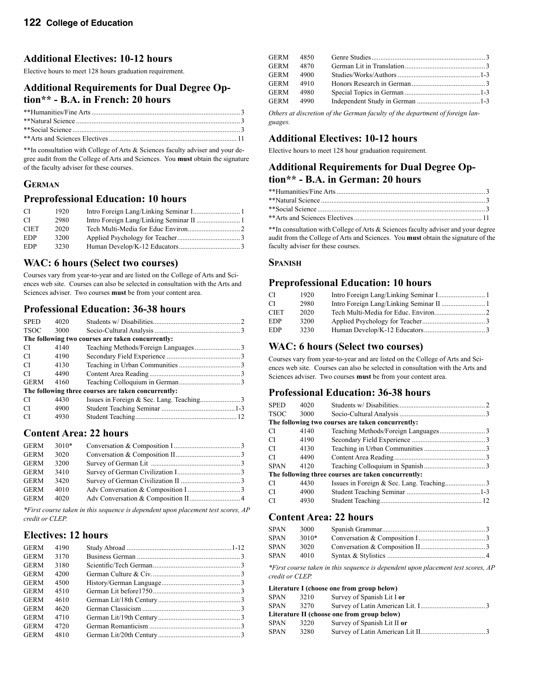### **Additional Electives: 10-12 hours**

Elective hours to meet 128 hours graduation requirement.

## **Additional Requirements for Dual Degree Option\*\* - B.A. in French: 20 hours**

\*\*In consultation with College of Arts & Sciences faculty adviser and your degree audit from the College of Arts and Sciences. You **must** obtain the signature of the faculty adviser for these courses.

### **GERMAN**

#### **Preprofessional Education: 10 hours**

| -CI         | 1920 |  |
|-------------|------|--|
| -CI         | 2980 |  |
| <b>CIET</b> | 2020 |  |
| EDP         | 3200 |  |
| EDP         | 3230 |  |

#### **WAC: 6 hours (Select two courses)**

Courses vary from year-to-year and are listed on the College of Arts and Sciences web site. Courses can also be selected in consultation with the Arts and Sciences adviser. Two courses **must** be from your content area.

### **Professional Education: 36-38 hours**

| <b>SPED</b> | 4020 |                                                     |  |
|-------------|------|-----------------------------------------------------|--|
| <b>TSOC</b> | 3000 |                                                     |  |
|             |      | The following two courses are taken concurrently:   |  |
| CI.         | 4140 |                                                     |  |
| CI.         | 4190 |                                                     |  |
| CI.         | 4130 |                                                     |  |
| CI          | 4490 |                                                     |  |
| <b>GERM</b> | 4160 |                                                     |  |
|             |      | The following three courses are taken concurrently: |  |
| CI          | 4430 |                                                     |  |
| CI          | 4900 |                                                     |  |
| CI          | 4930 |                                                     |  |

### **Content Area: 22 hours**

| GERM        | $3010*$ |  |
|-------------|---------|--|
| <b>GERM</b> | 3020    |  |
| <b>GERM</b> | 3200    |  |
| <b>GERM</b> | 3410    |  |
| <b>GERM</b> | 3420    |  |
| <b>GERM</b> | 4010    |  |
| <b>GERM</b> | 4020    |  |
|             |         |  |

*\*First course taken in this sequence is dependent upon placement test scores, AP credit or CLEP.*

#### **Electives: 12 hours**

| <b>GERM</b> | 4190 |  |
|-------------|------|--|
| <b>GERM</b> | 3170 |  |
| <b>GERM</b> | 3180 |  |
| <b>GERM</b> | 4200 |  |
| <b>GERM</b> | 4500 |  |
| <b>GERM</b> | 4510 |  |
| <b>GERM</b> | 4610 |  |
| <b>GERM</b> | 4620 |  |
| <b>GERM</b> | 4710 |  |
| <b>GERM</b> | 4720 |  |
| <b>GERM</b> | 4810 |  |
|             |      |  |

| GERM 4850 |  |  |
|-----------|--|--|
| GERM 4870 |  |  |
| GERM 4900 |  |  |
| GERM 4910 |  |  |
| GERM 4980 |  |  |
| GERM 4990 |  |  |

*Others at discretion of the German faculty of the department of foreign languages.*

### **Additional Electives: 10-12 hours**

Elective hours to meet 128 hour graduation requirement.

#### **Additional Requirements for Dual Degree Option\*\* - B.A. in German: 20 hours**

\*\*In consultation with College of Arts & Sciences faculty adviser and your degree audit from the College of Arts and Sciences. You **must** obtain the signature of the faculty adviser for these courses.

#### **SPANISH**

### **Preprofessional Education: 10 hours**

| СI         | 1920 |  |
|------------|------|--|
| СI         | 2980 |  |
| CIET       | 2020 |  |
| <b>EDP</b> | 3200 |  |
| <b>EDP</b> | 3230 |  |

#### **WAC: 6 hours (Select two courses)**

Courses vary from year-to-year and are listed on the College of Arts and Sciences web site. Courses can also be selected in consultation with the Arts and Sciences adviser. Two courses **must** be from your content area.

#### **Professional Education: 36-38 hours**

| <b>SPED</b> | 4020 |                                                     |  |
|-------------|------|-----------------------------------------------------|--|
| <b>TSOC</b> | 3000 |                                                     |  |
|             |      | The following two courses are taken concurrently:   |  |
| CI          | 4140 |                                                     |  |
| <b>CI</b>   | 4190 |                                                     |  |
| CI          | 4130 |                                                     |  |
| CI          | 4490 |                                                     |  |
| <b>SPAN</b> | 4120 |                                                     |  |
|             |      | The following three courses are taken concurrently: |  |
| CI          | 4430 |                                                     |  |
| CI          | 4900 |                                                     |  |
| CI          | 4930 |                                                     |  |
|             |      |                                                     |  |

### **Content Area: 22 hours**

| <b>SPAN</b> | 3000  |  |
|-------------|-------|--|
| <b>SPAN</b> | 3010* |  |
| <b>SPAN</b> | 3020  |  |
| <b>SPAN</b> | 4010  |  |
|             |       |  |

*\*First course taken in this sequence is dependent upon placement test scores, AP credit or CLEP.* 

**Literature I (choose one from group below)** 

| <b>SPAN</b> | 3210 | Survey of Spanish Lit I or                  |
|-------------|------|---------------------------------------------|
| <b>SPAN</b> | 3270 |                                             |
|             |      | Literature II (choose one from group below) |
| <b>SPAN</b> | 3220 | Survey of Spanish Lit II or                 |
| <b>SPAN</b> | 3280 |                                             |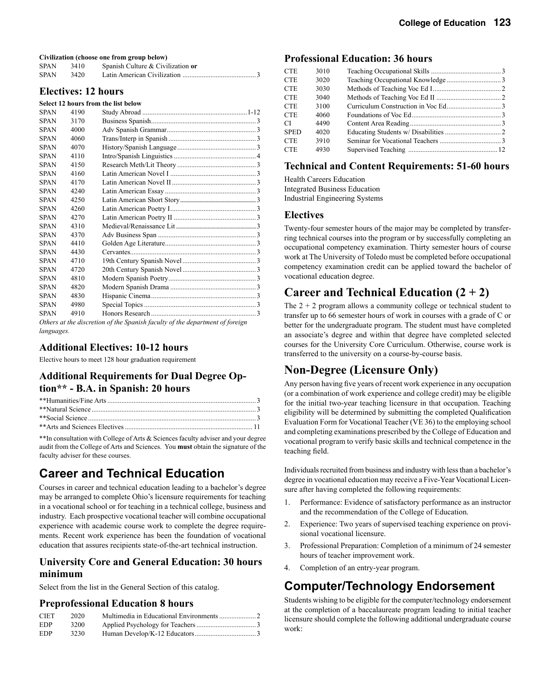**Civilization (choose one from group below)** 

| <b>SPAN</b> | 3410 | Spanish Culture & Civilization or |
|-------------|------|-----------------------------------|
| <b>SPAN</b> | 3420 |                                   |

#### **Electives: 12 hours**

#### **Select 12 hours from the list below**

| <b>SPAN</b> | 4190 |                                                                              |  |
|-------------|------|------------------------------------------------------------------------------|--|
| <b>SPAN</b> | 3170 |                                                                              |  |
| <b>SPAN</b> | 4000 |                                                                              |  |
| <b>SPAN</b> | 4060 |                                                                              |  |
| <b>SPAN</b> | 4070 |                                                                              |  |
| <b>SPAN</b> | 4110 |                                                                              |  |
| <b>SPAN</b> | 4150 |                                                                              |  |
| <b>SPAN</b> | 4160 |                                                                              |  |
| <b>SPAN</b> | 4170 |                                                                              |  |
| <b>SPAN</b> | 4240 |                                                                              |  |
| <b>SPAN</b> | 4250 |                                                                              |  |
| <b>SPAN</b> | 4260 |                                                                              |  |
| <b>SPAN</b> | 4270 |                                                                              |  |
| <b>SPAN</b> | 4310 |                                                                              |  |
| <b>SPAN</b> | 4370 |                                                                              |  |
| <b>SPAN</b> | 4410 |                                                                              |  |
| <b>SPAN</b> | 4430 |                                                                              |  |
| <b>SPAN</b> | 4710 |                                                                              |  |
| <b>SPAN</b> | 4720 |                                                                              |  |
| <b>SPAN</b> | 4810 |                                                                              |  |
| <b>SPAN</b> | 4820 |                                                                              |  |
| <b>SPAN</b> | 4830 |                                                                              |  |
| <b>SPAN</b> | 4980 |                                                                              |  |
| <b>SPAN</b> | 4910 |                                                                              |  |
|             |      | Others at the discretion of the Spanish faculty of the department of foreign |  |

*Others at the discretion of the Spanish faculty of the department of foreign languages.*

#### **Additional Electives: 10-12 hours**

Elective hours to meet 128 hour graduation requirement

### **Additional Requirements for Dual Degree Option\*\* - B.A. in Spanish: 20 hours**

\*\*In consultation with College of Arts & Sciences faculty adviser and your degree audit from the College of Arts and Sciences. You **must** obtain the signature of the faculty adviser for these courses.

## **Career and Technical Education**

Courses in career and technical education leading to a bachelor's degree may be arranged to complete Ohio's licensure requirements for teaching in a vocational school or for teaching in a technical college, business and industry. Each prospective vocational teacher will combine occupational experience with academic course work to complete the degree requirements. Recent work experience has been the foundation of vocational education that assures recipients state-of-the-art technical instruction.

### **University Core and General Education: 30 hours minimum**

Select from the list in the General Section of this catalog.

#### **Preprofessional Education 8 hours**

| <b>CIET</b> | 2020 |  |
|-------------|------|--|
| <b>EDP</b>  | 3200 |  |
| <b>EDP</b>  | 3230 |  |

#### **Professional Education: 36 hours**

| <b>CTE</b>  | 3010 |  |
|-------------|------|--|
| <b>CTE</b>  | 3020 |  |
| CTE         | 3030 |  |
| CTE         | 3040 |  |
| CTE         | 3100 |  |
| <b>CTE</b>  | 4060 |  |
| CI-         | 4490 |  |
| <b>SPED</b> | 4020 |  |
| <b>CTE</b>  | 3910 |  |
| <b>CTE</b>  | 4930 |  |
|             |      |  |

### **Technical and Content Requirements: 51-60 hours**

Health Careers Education Integrated Business Education Industrial Engineering Systems

#### **Electives**

Twenty-four semester hours of the major may be completed by transferring technical courses into the program or by successfully completing an occupational competency examination. Thirty semester hours of course work at The University of Toledo must be completed before occupational competency examination credit can be applied toward the bachelor of vocational education degree.

## **Career and Technical Education (2 + 2)**

The  $2 + 2$  program allows a community college or technical student to transfer up to 66 semester hours of work in courses with a grade of C or better for the undergraduate program. The student must have completed an associate's degree and within that degree have completed selected courses for the University Core Curriculum. Otherwise, course work is transferred to the university on a course-by-course basis.

## **Non-Degree (Licensure Only)**

Any person having five years of recent work experience in any occupation (or a combination of work experience and college credit) may be eligible for the initial two-year teaching licensure in that occupation. Teaching eligibility will be determined by submitting the completed Qualification Evaluation Form for Vocational Teacher (VE 36) to the employing school and completing examinations prescribed by the College of Education and vocational program to verify basic skills and technical competence in the teaching field.

Individuals recruited from business and industry with less than a bachelor's degree in vocational education may receive a Five-Year Vocational Licensure after having completed the following requirements:

- 1. Performance: Evidence of satisfactory performance as an instructor and the recommendation of the College of Education.
- 2. Experience: Two years of supervised teaching experience on provisional vocational licensure.
- 3. Professional Preparation: Completion of a minimum of 24 semester hours of teacher improvement work.
- 4. Completion of an entry-year program.

## **Computer/Technology Endorsement**

Students wishing to be eligible for the computer/technology endorsement at the completion of a baccalaureate program leading to initial teacher licensure should complete the following additional undergraduate course work: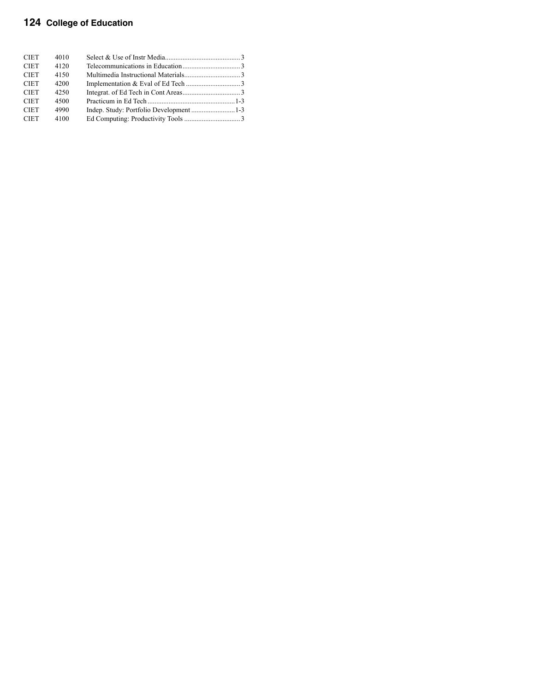## **124 College of Education**

| <b>CIET</b> | 4010 |  |
|-------------|------|--|
| <b>CIET</b> | 4120 |  |
| <b>CIET</b> | 4150 |  |
| <b>CIET</b> | 4200 |  |
| <b>CIET</b> | 4250 |  |
| <b>CIET</b> | 4500 |  |
| <b>CIET</b> | 4990 |  |
| <b>CIET</b> | 4100 |  |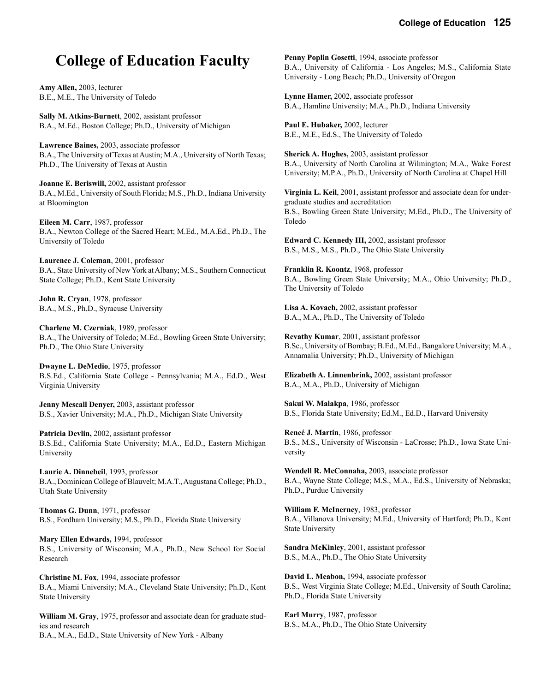## **College of Education Faculty**

**Amy Allen,** 2003, lecturer B.E., M.E., The University of Toledo

**Sally M. Atkins-Burnett**, 2002, assistant professor B.A., M.Ed., Boston College; Ph.D., University of Michigan

**Lawrence Baines,** 2003, associate professor B.A., The University of Texas at Austin; M.A., University of North Texas; Ph.D., The University of Texas at Austin

**Joanne E. Beriswill,** 2002, assistant professor B.A., M.Ed., University of South Florida; M.S., Ph.D., Indiana University at Bloomington

**Eileen M. Carr**, 1987, professor B.A., Newton College of the Sacred Heart; M.Ed., M.A.Ed., Ph.D., The University of Toledo

**Laurence J. Coleman**, 2001, professor B.A., State University of New York at Albany; M.S., Southern Connecticut State College; Ph.D., Kent State University

**John R. Cryan**, 1978, professor B.A., M.S., Ph.D., Syracuse University

**Charlene M. Czerniak**, 1989, professor B.A., The University of Toledo; M.Ed., Bowling Green State University; Ph.D., The Ohio State University

**Dwayne L. DeMedio**, 1975, professor B.S.Ed., California State College - Pennsylvania; M.A., Ed.D., West Virginia University

**Jenny Mescall Denyer,** 2003, assistant professor B.S., Xavier University; M.A., Ph.D., Michigan State University

**Patricia Devlin,** 2002, assistant professor B.S.Ed., California State University; M.A., Ed.D., Eastern Michigan University

**Laurie A. Dinnebeil**, 1993, professor B.A., Dominican College of Blauvelt; M.A.T., Augustana College; Ph.D., Utah State University

**Thomas G. Dunn**, 1971, professor B.S., Fordham University; M.S., Ph.D., Florida State University

**Mary Ellen Edwards,** 1994, professor B.S., University of Wisconsin; M.A., Ph.D., New School for Social Research

**Christine M. Fox**, 1994, associate professor B.A., Miami University; M.A., Cleveland State University; Ph.D., Kent State University

**William M. Gray**, 1975, professor and associate dean for graduate studies and research B.A., M.A., Ed.D., State University of New York - Albany

**Penny Poplin Gosetti**, 1994, associate professor B.A., University of California - Los Angeles; M.S., California State University - Long Beach; Ph.D., University of Oregon

**Lynne Hamer,** 2002, associate professor B.A., Hamline University; M.A., Ph.D., Indiana University

**Paul E. Hubaker,** 2002, lecturer B.E., M.E., Ed.S., The University of Toledo

**Sherick A. Hughes,** 2003, assistant professor B.A., University of North Carolina at Wilmington; M.A., Wake Forest University; M.P.A., Ph.D., University of North Carolina at Chapel Hill

**Virginia L. Keil**, 2001, assistant professor and associate dean for undergraduate studies and accreditation B.S., Bowling Green State University; M.Ed., Ph.D., The University of Toledo

**Edward C. Kennedy III,** 2002, assistant professor B.S., M.S., M.S., Ph.D., The Ohio State University

**Franklin R. Koontz**, 1968, professor B.A., Bowling Green State University; M.A., Ohio University; Ph.D., The University of Toledo

**Lisa A. Kovach,** 2002, assistant professor B.A., M.A., Ph.D., The University of Toledo

**Revathy Kumar**, 2001, assistant professor B.Sc., University of Bombay; B.Ed., M.Ed., Bangalore University; M.A., Annamalia University; Ph.D., University of Michigan

**Elizabeth A. Linnenbrink,** 2002, assistant professor B.A., M.A., Ph.D., University of Michigan

**Sakui W. Malakpa**, 1986, professor B.S., Florida State University; Ed.M., Ed.D., Harvard University

**Reneé J. Martin**, 1986, professor B.S., M.S., University of Wisconsin - LaCrosse; Ph.D., Iowa State University

**Wendell R. McConnaha,** 2003, associate professor B.A., Wayne State College; M.S., M.A., Ed.S., University of Nebraska; Ph.D., Purdue University

**William F. McInerney**, 1983, professor B.A., Villanova University; M.Ed., University of Hartford; Ph.D., Kent State University

**Sandra McKinley**, 2001, assistant professor B.S., M.A., Ph.D., The Ohio State University

**David L. Meabon,** 1994, associate professor B.S., West Virginia State College; M.Ed., University of South Carolina; Ph.D., Florida State University

**Earl Murry**, 1987, professor B.S., M.A., Ph.D., The Ohio State University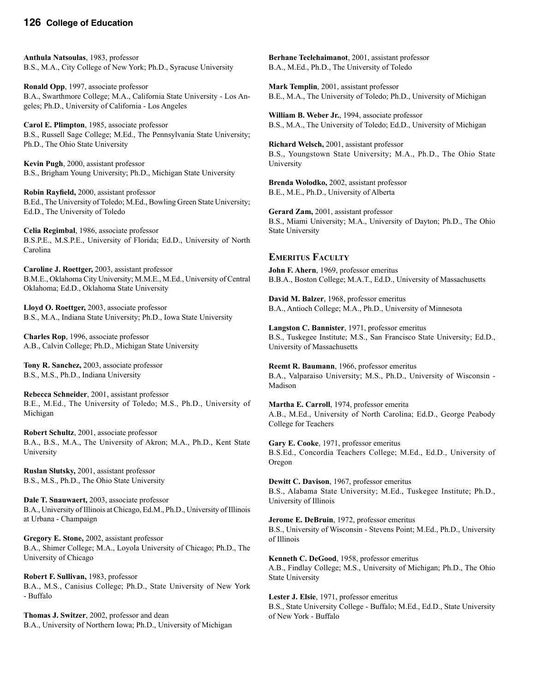#### **126 College of Education**

**Anthula Natsoulas**, 1983, professor B.S., M.A., City College of New York; Ph.D., Syracuse University

**Ronald Opp**, 1997, associate professor B.A., Swarthmore College; M.A., California State University - Los Angeles; Ph.D., University of California - Los Angeles

**Carol E. Plimpton**, 1985, associate professor B.S., Russell Sage College; M.Ed., The Pennsylvania State University; Ph.D., The Ohio State University

**Kevin Pugh**, 2000, assistant professor B.S., Brigham Young University; Ph.D., Michigan State University

**Robin Rayfield,** 2000, assistant professor B.Ed., The University of Toledo; M.Ed., Bowling Green State University; Ed.D., The University of Toledo

**Celia Regimbal**, 1986, associate professor B.S.P.E., M.S.P.E., University of Florida; Ed.D., University of North Carolina

**Caroline J. Roettger,** 2003, assistant professor B.M.E., Oklahoma City University; M.M.E., M.Ed., University of Central Oklahoma; Ed.D., Oklahoma State University

**Lloyd O. Roettger,** 2003, associate professor B.S., M.A., Indiana State University; Ph.D., Iowa State University

**Charles Rop**, 1996, associate professor A.B., Calvin College; Ph.D., Michigan State University

**Tony R. Sanchez,** 2003, associate professor B.S., M.S., Ph.D., Indiana University

**Rebecca Schneider**, 2001, assistant professor B.E., M.Ed., The University of Toledo; M.S., Ph.D., University of Michigan

**Robert Schultz**, 2001, associate professor B.A., B.S., M.A., The University of Akron; M.A., Ph.D., Kent State University

**Ruslan Slutsky,** 2001, assistant professor B.S., M.S., Ph.D., The Ohio State University

**Dale T. Snauwaert,** 2003, associate professor B.A., University of Illinois at Chicago, Ed.M., Ph.D., University of Illinois at Urbana - Champaign

**Gregory E. Stone,** 2002, assistant professor B.A., Shimer College; M.A., Loyola University of Chicago; Ph.D., The University of Chicago

**Robert F. Sullivan,** 1983, professor B.A., M.S., Canisius College; Ph.D., State University of New York - Buffalo

**Thomas J. Switzer**, 2002, professor and dean B.A., University of Northern Iowa; Ph.D., University of Michigan

**Berhane Teclehaimanot**, 2001, assistant professor B.A., M.Ed., Ph.D., The University of Toledo

**Mark Templin**, 2001, assistant professor B.E., M.A., The University of Toledo; Ph.D., University of Michigan

**William B. Weber Jr.**, 1994, associate professor B.S., M.A., The University of Toledo; Ed.D., University of Michigan

**Richard Welsch,** 2001, assistant professor B.S., Youngstown State University; M.A., Ph.D., The Ohio State University

**Brenda Wolodko,** 2002, assistant professor B.E., M.E., Ph.D., University of Alberta

**Gerard Zam,** 2001, assistant professor B.S., Miami University; M.A., University of Dayton; Ph.D., The Ohio State University

#### **EMERITUS FACULTY**

**John F. Ahern**, 1969, professor emeritus B.B.A., Boston College; M.A.T., Ed.D., University of Massachusetts

**David M. Balzer**, 1968, professor emeritus B.A., Antioch College; M.A., Ph.D., University of Minnesota

**Langston C. Bannister**, 1971, professor emeritus B.S., Tuskegee Institute; M.S., San Francisco State University; Ed.D., University of Massachusetts

**Reemt R. Baumann**, 1966, professor emeritus B.A., Valparaiso University; M.S., Ph.D., University of Wisconsin - Madison

**Martha E. Carroll**, 1974, professor emerita A.B., M.Ed., University of North Carolina; Ed.D., George Peabody College for Teachers

**Gary E. Cooke**, 1971, professor emeritus B.S.Ed., Concordia Teachers College; M.Ed., Ed.D., University of Oregon

**Dewitt C. Davison**, 1967, professor emeritus B.S., Alabama State University; M.Ed., Tuskegee Institute; Ph.D., University of Illinois

**Jerome E. DeBruin**, 1972, professor emeritus B.S., University of Wisconsin - Stevens Point; M.Ed., Ph.D., University of Illinois

**Kenneth C. DeGood**, 1958, professor emeritus A.B., Findlay College; M.S., University of Michigan; Ph.D., The Ohio State University

**Lester J. Elsie**, 1971, professor emeritus B.S., State University College - Buffalo; M.Ed., Ed.D., State University of New York - Buffalo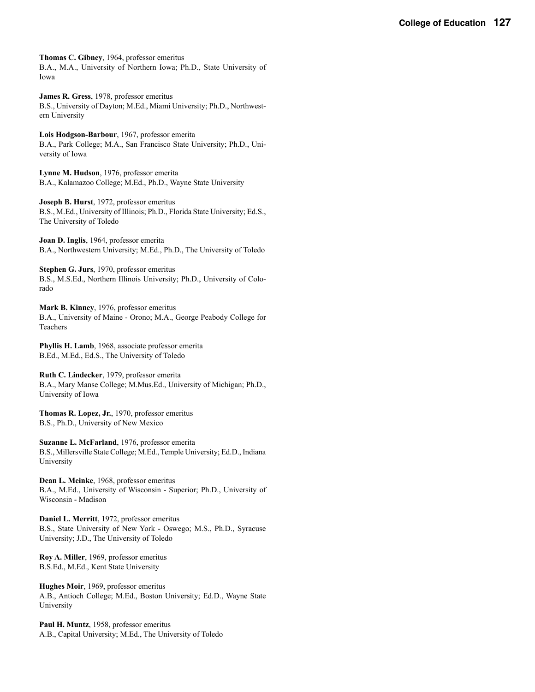**Thomas C. Gibney**, 1964, professor emeritus B.A., M.A., University of Northern Iowa; Ph.D., State University of Iowa

**James R. Gress**, 1978, professor emeritus B.S., University of Dayton; M.Ed., Miami University; Ph.D., Northwestern University

**Lois Hodgson-Barbour**, 1967, professor emerita B.A., Park College; M.A., San Francisco State University; Ph.D., University of Iowa

**Lynne M. Hudson**, 1976, professor emerita B.A., Kalamazoo College; M.Ed., Ph.D., Wayne State University

**Joseph B. Hurst**, 1972, professor emeritus B.S., M.Ed., University of Illinois; Ph.D., Florida State University; Ed.S., The University of Toledo

**Joan D. Inglis**, 1964, professor emerita B.A., Northwestern University; M.Ed., Ph.D., The University of Toledo

**Stephen G. Jurs**, 1970, professor emeritus B.S., M.S.Ed., Northern Illinois University; Ph.D., University of Colorado

**Mark B. Kinney**, 1976, professor emeritus B.A., University of Maine - Orono; M.A., George Peabody College for Teachers

**Phyllis H. Lamb**, 1968, associate professor emerita B.Ed., M.Ed., Ed.S., The University of Toledo

**Ruth C. Lindecker**, 1979, professor emerita B.A., Mary Manse College; M.Mus.Ed., University of Michigan; Ph.D., University of Iowa

**Thomas R. Lopez, Jr.**, 1970, professor emeritus B.S., Ph.D., University of New Mexico

**Suzanne L. McFarland**, 1976, professor emerita B.S., Millersville State College; M.Ed., Temple University; Ed.D., Indiana University

**Dean L. Meinke**, 1968, professor emeritus B.A., M.Ed., University of Wisconsin - Superior; Ph.D., University of Wisconsin - Madison

**Daniel L. Merritt**, 1972, professor emeritus B.S., State University of New York - Oswego; M.S., Ph.D., Syracuse University; J.D., The University of Toledo

**Roy A. Miller**, 1969, professor emeritus B.S.Ed., M.Ed., Kent State University

**Hughes Moir**, 1969, professor emeritus A.B., Antioch College; M.Ed., Boston University; Ed.D., Wayne State University

**Paul H. Muntz**, 1958, professor emeritus A.B., Capital University; M.Ed., The University of Toledo